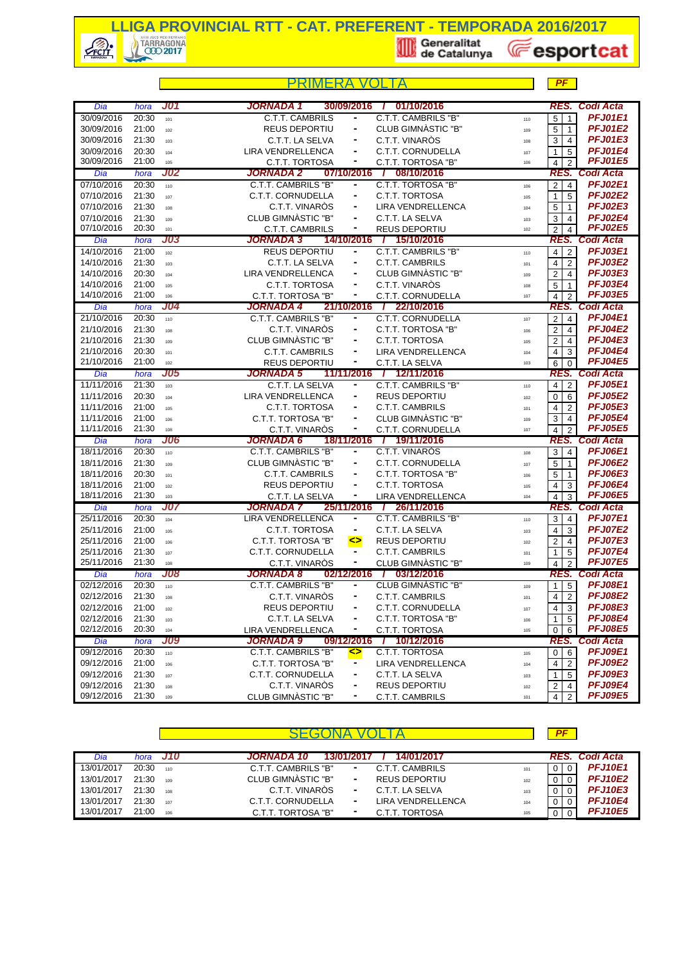

|                          |                |            | PRIMFRA                                                                                | PF                                                               |
|--------------------------|----------------|------------|----------------------------------------------------------------------------------------|------------------------------------------------------------------|
| Dia                      | hora           | J01        | 01/10/2016<br>JORNADA 1<br>30/09/2016<br>-1                                            | <b>Codi Acta</b><br>RES.                                         |
| 30/09/2016               | 20:30          | 101        | C.T.T. CAMBRILS "B"<br><b>C.T.T. CAMBRILS</b><br>۰                                     | <b>PFJ01E1</b><br>5<br>$\mathbf{1}$<br>110                       |
| 30/09/2016               | 21:00          | 102        | CLUB GIMNASTIC "B"<br><b>REUS DEPORTIU</b>                                             | <b>PFJ01E2</b><br>$5 \mid 1$<br>109                              |
| 30/09/2016               | 21:30          | 103        | C.T.T. VINARÒS<br>C.T.T. LA SELVA<br>$\blacksquare$                                    | <b>PFJ01E3</b><br>3 <sup>1</sup><br>$\overline{4}$<br>108        |
| 30/09/2016               | 20:30          | 104        | LIRA VENDRELLENCA<br>C.T.T. CORNUDELLA                                                 | <b>PFJ01E4</b><br>5<br>$\mathbf{1}$<br>107                       |
| 30/09/2016               | 21:00          | 105        | C.T.T. TORTOSA<br>C.T.T. TORTOSA "B"                                                   | <b>PFJ01E5</b><br>$\overline{2}$<br>4<br>106                     |
| Dia                      | hora           | <b>J02</b> | <b>JORNADA 2</b><br>07/10/2016<br>08/10/2016<br>$\top$                                 | RES. Codi Acta                                                   |
| 07/10/2016               | 20:30          | 110        | C.T.T. CAMBRILS "B"<br>C.T.T. TORTOSA "B"<br>۰                                         | <b>PFJ02E1</b><br>$2 \mid$<br>$\overline{4}$<br>106              |
| 07/10/2016               | 21:30          | 107        | C.T.T. CORNUDELLA<br>C.T.T. TORTOSA<br>$\blacksquare$                                  | <b>PFJ02E2</b><br>5<br>$\mathbf{1}$<br>105                       |
| 07/10/2016               | 21:30          | 108        | C.T.T. VINARÒS<br><b>LIRA VENDRELLENCA</b><br>٠                                        | <b>PFJ02E3</b><br>5<br>$\mathbf{1}$<br>104                       |
| 07/10/2016               | 21:30          | 109        | CLUB GIMNASTIC "B"<br>C.T.T. LA SELVA                                                  | <b>PFJ02E4</b><br>3<br>$\overline{4}$<br>103                     |
| 07/10/2016               | 20:30          | 101        | <b>C.T.T. CAMBRILS</b><br><b>REUS DEPORTIU</b><br>٠                                    | <b>PFJ02E5</b><br>$\overline{2}$<br>$\overline{4}$<br>102        |
| Dia                      | hora           | <b>J03</b> | <b>JORNADA 3</b><br>14/10/2016<br>/ 15/10/2016                                         | Codi Acta<br>RES.                                                |
| 14/10/2016               | 21:00          | 102        | <b>REUS DEPORTIU</b><br>C.T.T. CAMBRILS "B"<br>$\blacksquare$                          | <b>PFJ03E1</b><br>$\overline{2}$<br>4 I<br>110<br><b>PFJ03E2</b> |
| 14/10/2016               | 21:30          | 103        | C.T.T. LA SELVA<br>C.T.T. CAMBRILS<br>٠                                                | 4<br>$\overline{2}$<br>101<br><b>PFJ03E3</b>                     |
| 14/10/2016               | 20:30          | 104        | LIRA VENDRELLENCA<br>CLUB GIMNASTIC "B"<br>C.T.T. VINARÒS<br>$\blacksquare$            | 2<br>$\overline{4}$<br>109<br><b>PFJ03E4</b>                     |
| 14/10/2016<br>14/10/2016 | 21:00<br>21:00 | 105<br>106 | C.T.T. TORTOSA<br>٠                                                                    | 5<br>$\overline{1}$<br>108<br><b>PFJ03E5</b>                     |
| Dia                      | hora           | J04        | C.T.T. TORTOSA "B"<br>C.T.T. CORNUDELLA<br><b>JORNADA 4</b><br>21/10/2016 / 22/10/2016 | $\overline{4}$<br>$\overline{2}$<br>107<br><b>RES. Codi Acta</b> |
| 21/10/2016               | 20:30          | 110        | <b>C.T.T. CAMBRILS "B"</b><br>C.T.T. CORNUDELLA<br>٠                                   | <b>PFJ04E1</b><br>$\overline{c}$<br>$\overline{4}$               |
| 21/10/2016               | 21:30          | 108        | C.T.T. VINARÒS<br>C.T.T. TORTOSA "B"<br>۰                                              | 107<br><b>PFJ04E2</b><br>2 <sup>1</sup><br>$\overline{4}$        |
| 21/10/2016               | 21:30          | 109        | CLUB GIMNASTIC "B"<br>C.T.T. TORTOSA<br>$\blacksquare$                                 | 106<br><b>PFJ04E3</b><br>$\overline{2}$<br>$\overline{4}$<br>105 |
| 21/10/2016               | 20:30          | 101        | <b>C.T.T. CAMBRILS</b><br>LIRA VENDRELLENCA<br>۰                                       | <b>PFJ04E4</b><br>$\overline{4}$<br>3<br>104                     |
| 21/10/2016               | 21:00          | 102        | <b>REUS DEPORTIU</b><br>C.T.T. LA SELVA<br>۰                                           | <b>PFJ04E5</b><br>6<br>$\Omega$<br>103                           |
| Dia                      | hora           | <b>J05</b> | <b>JORNADA 5</b><br>11/11/2016<br>7 12/11/2016                                         | <b>RES. Codi Acta</b>                                            |
| 11/11/2016               | 21:30          | 103        | C.T.T. LA SELVA<br>C.T.T. CAMBRILS "B"<br>٠                                            | <b>PFJ05E1</b><br>$4 \mid 2$<br>110                              |
| 11/11/2016               | 20:30          | 104        | LIRA VENDRELLENCA<br><b>REUS DEPORTIU</b><br>$\blacksquare$                            | <b>PFJ05E2</b><br>6<br>$\overline{0}$<br>102                     |
| 11/11/2016               | 21:00          | 105        | C.T.T. TORTOSA<br><b>C.T.T. CAMBRILS</b><br>$\blacksquare$                             | <b>PFJ05E3</b><br>$\overline{4}$<br>2<br>101                     |
| 11/11/2016               | 21:00          | 106        | C.T.T. TORTOSA "B"<br>CLUB GIMNASTIC "B"                                               | <b>PFJ05E4</b><br>3<br>4<br>109                                  |
| 11/11/2016               | 21:30          | 108        | C.T.T. VINAROS<br>٠<br>C.T.T. CORNUDELLA                                               | <b>PFJ05E5</b><br>$\overline{2}$<br>$\overline{4}$<br>107        |
| Dia                      | hora           | J06        | <b>JORNADA 6</b><br>/ 19/11/2016<br>18/11/2016                                         | <b>Codi Acta</b><br>RES.                                         |
| 18/11/2016               | 20:30          | 110        | <b>C.T.T. CAMBRILS "B"</b><br><b>C.T.T. VINAROS</b><br>$\blacksquare$                  | <b>PFJ06E1</b><br>$3 \mid 4$<br>108                              |
| 18/11/2016               | 21:30          | 109        | CLUB GIMNASTIC "B"<br>C.T.T. CORNUDELLA<br>$\blacksquare$                              | <b>PFJ06E2</b><br>$\overline{5}$<br>$\mathbf{1}$<br>107          |
| 18/11/2016               | 20:30          | 101        | <b>C.T.T. CAMBRILS</b><br>C.T.T. TORTOSA "B"<br>$\blacksquare$                         | <b>PFJ06E3</b><br>5<br>$\mathbf{1}$<br>106                       |
| 18/11/2016               | 21:00          | 102        | C.T.T. TORTOSA<br><b>REUS DEPORTIU</b><br>۰                                            | <b>PFJ06E4</b><br>3<br>4<br>105                                  |
| 18/11/2016               | 21:30          | 103        | ۰<br>C.T.T. LA SELVA<br>LIRA VENDRELLENCA                                              | <b>PFJ06E5</b><br>$\overline{4}$<br>3<br>104                     |
| Dia                      | hora           | J07        | 25/11/2016<br><b>JORNADA 7</b><br>26/11/2016<br>$\mathcal{L}$                          | Codi Acta<br>RES.                                                |
| 25/11/2016               | 20:30          | 104        | <b>LIRA VENDRELLENCA</b><br>C.T.T. CAMBRILS "B"<br>$\blacksquare$                      | <b>PFJ07E1</b><br>$3 \mid 4$<br>110                              |
| 25/11/2016               | 21:00          | 105        | C.T.T. TORTOSA<br>C.T.T. LA SELVA<br>٠                                                 | <b>PFJ07E2</b><br>4<br>3<br>103                                  |
| 25/11/2016               | 21:00          | 106        | C.T.T. TORTOSA "B"<br><br><b>REUS DEPORTIU</b>                                         | <b>PFJ07E3</b><br>2<br>$\overline{4}$<br>102                     |
| 25/11/2016               | 21:30          | 107        | C.T.T. CORNUDELLA<br><b>C.T.T. CAMBRILS</b><br>۰<br>-                                  | <b>PFJ07E4</b><br>5<br>1<br>101<br><b>PFJ07E5</b>                |
| 25/11/2016               | 21:30          | 108<br>J08 | CLUB GIMNASTIC "B"<br>C.T.T. VINARÒS<br>JORNADA 8<br>02/12/2016 /<br>03/12/2016        | $\overline{2}$<br>4<br>109<br>Codi Acta<br>RES.                  |
| Dia<br>02/12/2016        | hora<br>20:30  |            | <b>CLUB GIMNASTIC "B"</b><br><b>C.T.T. CAMBRILS "B"</b>                                | <b>PFJ08E1</b><br>$1\overline{5}$                                |
| 02/12/2016               | 21:30          | 110        | C.T.T. VINARÒS<br>C.T.T. CAMBRILS<br>٠                                                 | 109<br><b>PFJ08E2</b><br>$\overline{2}$                          |
| 02/12/2016               | 21:00          | 108<br>102 | REUS DEPORTIU<br>C.T.T. CORNUDELLA<br>۰                                                | 4<br>101<br><b>PFJ08E3</b><br>4 <sup>1</sup><br>3                |
| 02/12/2016               | 21:30          | 103        | C.T.T. LA SELVA<br>C.T.T. TORTOSA "B"<br>-                                             | 107<br>PFJ08E4<br>5<br>1<br>106                                  |
| 02/12/2016               | 20:30          | 104        | LIRA VENDRELLENCA<br>C.T.T. TORTOSA<br>۰                                               | <b>PFJ08E5</b><br>$\overline{0}$<br>6<br>105                     |
| Dia                      | hora           | <b>J09</b> | <b>JORNADA 9</b><br>10/12/2016<br>09/12/2016<br>$\prime$                               | RES.<br><b>Codi Acta</b>                                         |
| 09/12/2016               | 20:30          | 110        | <b>C.T.T. CAMBRILS "B"</b><br>C.T.T. TORTOSA<br>◇                                      | <b>PFJ09E1</b><br>$0 \quad 6$<br>105                             |
| 09/12/2016               | 21:00          | 106        | C.T.T. TORTOSA "B"<br>$\blacksquare$<br>LIRA VENDRELLENCA                              | <b>PFJ09E2</b><br>$\overline{2}$<br>4<br>104                     |
| 09/12/2016               | 21:30          | 107        | C.T.T. CORNUDELLA<br>C.T.T. LA SELVA<br>٠                                              | <b>PFJ09E3</b><br>5<br>1<br>103                                  |
| 09/12/2016               | 21:30          | 108        | C.T.T. VINARÒS<br>REUS DEPORTIU<br>۰                                                   | PFJ09E4<br>2<br>$\overline{4}$<br>102                            |
| 09/12/2016               | 21:30          | 109        | CLUB GIMNÀSTIC "B"<br>٠<br>C.T.T. CAMBRILS                                             | <b>PFJ09E5</b><br>4 <sup>1</sup><br>$\overline{2}$<br>101        |

|            |       |          |                                                        | РF       |                |
|------------|-------|----------|--------------------------------------------------------|----------|----------------|
| Dia        |       | hora J10 | 14/01/2017<br><b>JORNADA 10</b><br>13/01/2017          |          | RES. Codi Acta |
| 13/01/2017 | 20:30 | 110      | C.T.T. CAMBRILS "B"<br><b>C.T.T. CAMBRILS</b><br>101   | $\Omega$ | <b>PFJ10E1</b> |
| 13/01/2017 | 21:30 | 109      | CLUB GIMNÀSTIC "B"<br><b>REUS DEPORTIU</b><br>۰<br>102 |          | <b>PFJ10E2</b> |
| 13/01/2017 | 21:30 | 108      | C.T.T. VINARÒS<br>C.T.T. LA SELVA<br>۰.<br>103         |          | <b>PFJ10E3</b> |
| 13/01/2017 | 21:30 | 107      | LIRA VENDRELLENCA<br>C.T.T. CORNUDELLA<br>۰.<br>104    |          | <b>PFJ10E4</b> |
| 13/01/2017 | 21:00 | 106      | C.T.T. TORTOSA "B"<br>C.T.T. TORTOSA<br>$\sim$<br>105  |          | <b>PFJ10E5</b> |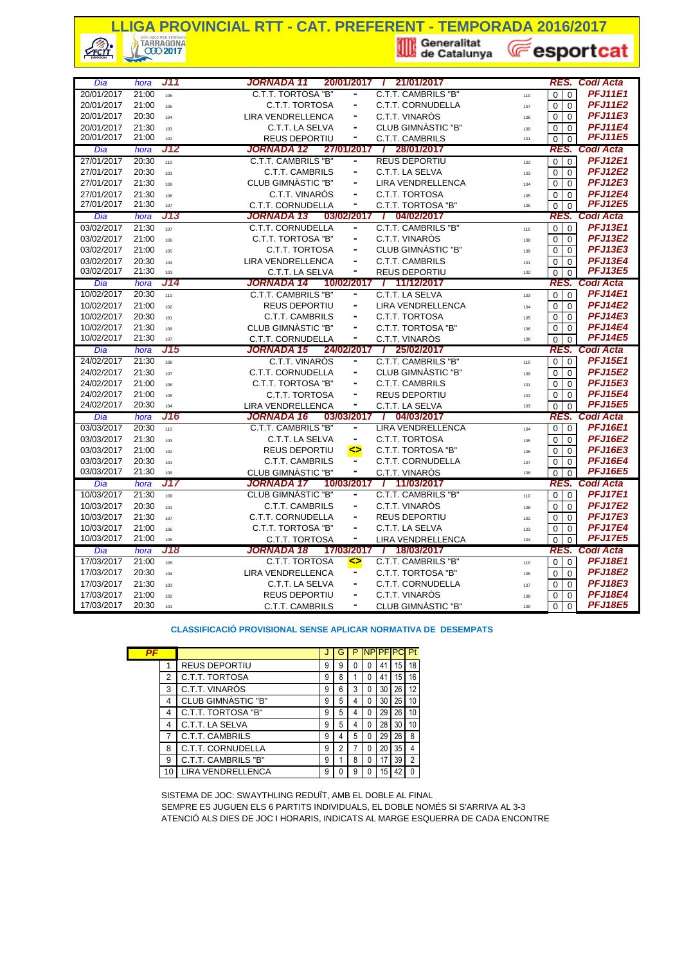## **LLIGA PROVINCIAL RTT - CAT. PREFERENT - TEMPORADA 2016/2017**<br> **A TARRAGONA**<br> **A GEORGE CATE LIGA CONSTRUES AND RESPONSE AND RESPONSE AND RESPONSE AND RESPONSE AND RESPONSIVE**  $\mathcal{L}$ **E**esportcat

| Dia                      | hora           | J11        | JORNADA 11                                          | 20/01/2017 /                 | 21/01/2017                                  |                                            | RES. Codi Acta                   |
|--------------------------|----------------|------------|-----------------------------------------------------|------------------------------|---------------------------------------------|--------------------------------------------|----------------------------------|
| 20/01/2017               | 21:00          | 106        | C.T.T. TORTOSA "B"                                  | $\frac{1}{2}$                | C.T.T. CAMBRILS "B"                         | $\mathbf 0$<br>$\mathbf 0$<br>110          | <b>PFJ11E1</b>                   |
| 20/01/2017               | 21:00          | 105        | C.T.T. TORTOSA                                      | ۰                            | C.T.T. CORNUDELLA                           | $\mathbf 0$<br>$\Omega$<br>107             | <b>PFJ11E2</b>                   |
| 20/01/2017               | 20:30          | 104        | <b>LIRA VENDRELLENCA</b>                            | $\overline{\phantom{a}}$     | C.T.T. VINARÒS                              | $\mathbf 0$<br>$\Omega$<br>108             | <b>PFJ11E3</b>                   |
| 20/01/2017               | 21:30          | 103        | C.T.T. LA SELVA                                     | ۰                            | CLUB GIMNASTIC "B"                          | 0<br>$\Omega$<br>109                       | <b>PFJ11E4</b>                   |
| 20/01/2017               | 21:00          | 102        | <b>REUS DEPORTIU</b>                                | ۰                            | <b>C.T.T. CAMBRILS</b>                      | $\mathbf 0$<br>$\Omega$<br>101             | <b>PFJ11E5</b>                   |
| Dia                      | hora           | J12        | JORNADA 12                                          | 27/01/2017                   | 28/01/2017<br>$\top$                        | RES.                                       | Codi Acta                        |
| 27/01/2017               | 20:30          | 110        | C.T.T. CAMBRILS "B"                                 |                              | <b>REUS DEPORTIU</b>                        | $\Omega$<br>$\Omega$<br>102                | <b>PFJ12E1</b>                   |
| 27/01/2017               | 20:30          | 101        | <b>C.T.T. CAMBRILS</b>                              | $\blacksquare$               | C.T.T. LA SELVA                             | $\Omega$<br>$\Omega$<br>103                | <b>PFJ12E2</b>                   |
| 27/01/2017               | 21:30          | 109        | CLUB GIMNASTIC "B"                                  |                              | <b>LIRA VENDRELLENCA</b>                    | $\mathbf 0$<br>$\Omega$<br>104             | <b>PFJ12E3</b>                   |
| 27/01/2017               | 21:30          | 108        | C.T.T. VINARÒS                                      | $\overline{\phantom{a}}$     | C.T.T. TORTOSA                              | 0<br>$\Omega$<br>105                       | <b>PFJ12E4</b>                   |
| 27/01/2017               | 21:30          | 107        | C.T.T. CORNUDELLA                                   | ٠                            | C.T.T. TORTOSA "B"                          | $\mathbf 0$<br>$\mathbf 0$<br>106          | <b>PFJ12E5</b>                   |
| Dia                      | hora           | J13        | <b>JORNADA 13</b>                                   |                              | 03/02/2017 / 04/02/2017                     | RES.                                       | Codi Acta                        |
| 03/02/2017               | 21:30          | 107        | C.T.T. CORNUDELLA                                   | ۰                            | <b>C.T.T. CAMBRILS "B"</b>                  | $\mathbf 0$<br>$\Omega$<br>110             | <b>PFJ13E1</b>                   |
| 03/02/2017               | 21:00          | 106        | C.T.T. TORTOSA "B"                                  |                              | C.T.T. VINARÒS                              | $\Omega$<br>0<br>108                       | <b>PFJ13E2</b>                   |
| 03/02/2017               | 21:00          | 105        | C.T.T. TORTOSA                                      | ۰                            | CLUB GIMNASTIC "B"                          | 0<br>$\Omega$<br>109                       | <b>PFJ13E3</b>                   |
| 03/02/2017               | 20:30          | 104        | <b>LIRA VENDRELLENCA</b>                            |                              | <b>C.T.T. CAMBRILS</b>                      | $\mathbf 0$<br>$\mathbf 0$<br>101          | <b>PFJ13E4</b>                   |
| 03/02/2017               | 21:30          | 103        | C.T.T. LA SELVA                                     | ۰                            | REUS DEPORTIU                               | $\Omega$<br>$\Omega$<br>102                | <b>PFJ13E5</b>                   |
| Dia                      | hora           | J14        | JORNADA 14                                          | 10/02/2017                   | 11/12/2017                                  | RES.                                       | Codi Acta                        |
| 10/02/2017               | 20:30          | 110        | C.T.T. CAMBRILS "B"                                 | $\frac{1}{2}$                | C.T.T. LA SELVA                             | $\mathbf 0$<br>$\Omega$<br>103             | <b>PFJ14E1</b>                   |
| 10/02/2017               | 21:00          | 102        | <b>REUS DEPORTIU</b>                                | ۰                            | <b>LIRA VENDRELLENCA</b>                    | $\mathbf 0$<br>$\Omega$<br>104             | <b>PFJ14E2</b>                   |
| 10/02/2017               | 20:30          | 101        | <b>C.T.T. CAMBRILS</b>                              | $\overline{\phantom{a}}$     | C.T.T. TORTOSA                              | $\mathbf 0$<br>$\Omega$<br>105             | <b>PFJ14E3</b>                   |
| 10/02/2017               | 21:30          | 109        | CLUB GIMNASTIC "B"                                  | $\blacksquare$               | C.T.T. TORTOSA "B"<br>C.T.T. VINARÒS        | $\Omega$<br>$\Omega$<br>106                | <b>PFJ14E4</b>                   |
| 10/02/2017               | 21:30          | 107        | C.T.T. CORNUDELLA                                   | ۰                            |                                             | $\Omega$<br>108                            | <b>PFJ14E5</b>                   |
|                          |                |            |                                                     |                              |                                             | $\mathbf 0$                                |                                  |
| Dia                      | hora           | J15        | JORNADA 15                                          |                              | 24/02/2017 / 25/02/2017                     |                                            | RES. Codi Acta                   |
| 24/02/2017               | 21:30          | 108        | C.T.T. VINARÓS                                      |                              | C.T.T. CAMBRILS "B"                         | $\mathbf 0$<br>$\mathbf 0$<br>110          | <b>PFJ15E1</b>                   |
| 24/02/2017               | 21:30          | 107        | C.T.T. CORNUDELLA                                   | $\qquad \qquad \blacksquare$ | CLUB GIMNASTIC "B"                          | $\mathbf 0$<br>$\mathbf 0$<br>109          | <b>PFJ15E2</b>                   |
| 24/02/2017               | 21:00          | 106        | C.T.T. TORTOSA "B"                                  |                              | <b>C.T.T. CAMBRILS</b>                      | $\mathbf 0$<br>$\Omega$<br>101             | <b>PFJ15E3</b>                   |
| 24/02/2017               | 21:00          | 105        | C.T.T. TORTOSA                                      | $\frac{1}{2}$                | <b>REUS DEPORTIU</b>                        | 0<br>$\Omega$<br>102                       | <b>PFJ15E4</b>                   |
| 24/02/2017               | 20:30          | 104        | <b>LIRA VENDRELLENCA</b>                            | ۰                            | C.T.T. LA SELVA                             | $\mathbf 0$<br>$\Omega$<br>103             | <b>PFJ15E5</b>                   |
| Dia                      | hora           | J16        | <b>JORNADA 16</b>                                   | 03/03/2017 /                 | 04/03/2017                                  | RES.                                       | Codi Acta                        |
| 03/03/2017               | 20:30          | 110        | C.T.T. CAMBRILS "B"                                 | $\overline{\phantom{0}}$     | <b>LIRA VENDRELLENCA</b>                    | $\Omega$<br>$\Omega$<br>104                | <b>PFJ16E1</b>                   |
| 03/03/2017               | 21:30          | 103        | C.T.T. LA SELVA                                     | $\blacksquare$               | C.T.T. TORTOSA                              | 0<br>$\Omega$<br>105                       | <b>PFJ16E2</b><br><b>PFJ16E3</b> |
| 03/03/2017               | 21:00          | 102        | <b>REUS DEPORTIU</b>                                | ◇                            | C.T.T. TORTOSA "B"                          | 0<br>$\Omega$<br>106                       |                                  |
| 03/03/2017<br>03/03/2017 | 20:30<br>21:30 | 101<br>109 | <b>C.T.T. CAMBRILS</b>                              | ۰                            | C.T.T. CORNUDELLA                           | $\mathbf 0$<br>$\Omega$<br>107<br>108      | <b>PFJ16E4</b><br><b>PFJ16E5</b> |
|                          |                | J17        | CLUB GIMNASTIC "B"                                  |                              | C.T.T. VINAROS                              | $\Omega$<br>$\Omega$<br>RES.               |                                  |
| Dia                      | hora<br>21:30  |            | JORNADA 17                                          | 10/03/2017                   | / 11/03/2017<br>C.T.T. CAMBRILS "B"         |                                            | Codi Acta<br><b>PFJ17E1</b>      |
| 10/03/2017<br>10/03/2017 | 20:30          | 109<br>101 | <b>CLUB GIMNASTIC "B"</b><br><b>C.T.T. CAMBRILS</b> | $\blacksquare$               | C.T.T. VINARÒS                              | 0<br>$\mathbf 0$<br>110<br>$\Omega$        |                                  |
| 10/03/2017               | 21:30          | 107        | C.T.T. CORNUDELLA                                   | $\blacksquare$               | <b>REUS DEPORTIU</b>                        | 0<br>108<br>$\Omega$                       | <b>PFJ17E2</b><br><b>PFJ17E3</b> |
| 10/03/2017               | 21:00          | 106        | C.T.T. TORTOSA "B"                                  | ۰                            |                                             | 0<br>102<br>$\mathbf 0$<br>$\Omega$<br>103 | <b>PFJ17E4</b>                   |
| 10/03/2017               | 21:00          | 105        | C.T.T. TORTOSA                                      | ۰                            | C.T.T. LA SELVA<br><b>LIRA VENDRELLENCA</b> | $\mathbf 0$<br>$\Omega$<br>104             | <b>PFJ17E5</b>                   |
| Dia                      | hora           | J18        | JORNADA 18                                          | 17/03/2017 /                 | 18/03/2017                                  |                                            | RES. Codi Acta                   |
| 17/03/2017               | 21:00          | 105        | <b>C.T.T. TORTOSA</b>                               |                              | C.T.T. CAMBRILS "B"                         | $\overline{0}$<br>$\mathbf 0$<br>110       | <b>PFJ18E1</b>                   |
| 17/03/2017               | 20:30          | 104        | <b>LIRA VENDRELLENCA</b>                            | $\blacksquare$               | C.T.T. TORTOSA "B"                          | $\mathbf 0$<br>$\Omega$<br>106             | <b>PFJ18E2</b>                   |
| 17/03/2017               | 21:30          | 103        | C.T.T. LA SELVA                                     |                              | C.T.T. CORNUDELLA                           | 0<br>$\Omega$<br>107                       | <b>PFJ18E3</b>                   |
| 17/03/2017               | 21:00          | 102        | <b>REUS DEPORTIU</b>                                | ٠                            | C.T.T. VINARÒS                              | 0<br>$\Omega$<br>108                       | <b>PFJ18E4</b>                   |

#### **CLASSIFICACIÓ PROVISIONAL SENSE APLICAR NORMATIVA DE DESEMPATS**

| PF |    |                      |   | s |   | <b>NP</b> | <b>PF</b> |    | Pt |
|----|----|----------------------|---|---|---|-----------|-----------|----|----|
|    |    | <b>REUS DEPORTIU</b> | 9 | 9 | 0 | 0         | 41        | 15 | 18 |
|    | 2  | C.T.T. TORTOSA       | 9 | 8 |   | 0         | 41        | 15 | 16 |
|    | 3  | C.T.T. VINAROS       | 9 | 6 | 3 | 0         | 30        | 26 | 12 |
|    | 4  | CLUB GIMNASTIC "B"   | 9 | 5 | 4 | 0         | 30        | 26 | 10 |
|    | 4  | C.T.T. TORTOSA "B"   | 9 | 5 |   | 0         | 29        | 26 | 10 |
|    | 4  | C.T.T. LA SELVA      | 9 | 5 | 4 | 0         | 28        | 30 | 10 |
|    | 7  | C.T.T. CAMBRILS      | 9 | 4 | 5 | 0         | 29        | 26 | 8  |
|    | 8  | C.T.T. CORNUDELLA    | 9 | 2 |   | 0         | 20        | 35 | 4  |
|    | 9  | C.T.T. CAMBRILS "B"  | 9 |   | 8 | 0         | 17        | 39 | 2  |
|    | 10 | LIRA VENDRELLENCA    | 9 |   | 9 |           | 15        | 42 |    |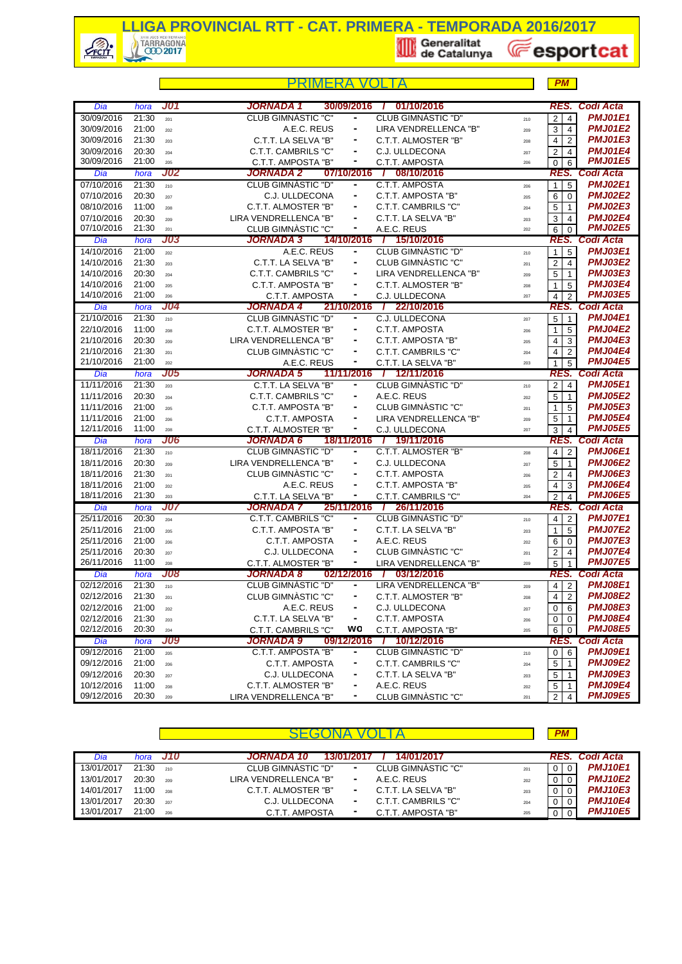

**E**esportcat

|                          |                    |            |                                                           |                                         | PM                               |                                  |
|--------------------------|--------------------|------------|-----------------------------------------------------------|-----------------------------------------|----------------------------------|----------------------------------|
| Dia                      | hora               | J01        | <b>JORNADA 1</b><br>30/09/2016                            | 01/10/2016                              |                                  | <b>RES. Codi Acta</b>            |
| 30/09/2016               | 21:30              |            | <b>CLUB GIMNASTIC "C"</b><br>۰                            | <b>CLUB GIMNASTIC "D"</b>               | $\overline{4}$<br>$\overline{2}$ | <b>PMJ01E1</b>                   |
| 30/09/2016               | 21:00              | 201<br>202 | A.E.C. REUS<br>۰                                          | 210<br>LIRA VENDRELLENCA "B"            | 3<br>$\overline{4}$              | <b>PMJ01E2</b>                   |
| 30/09/2016               | 21:30              | 203        | C.T.T. LA SELVA "B"                                       | 209<br>C.T.T. ALMOSTER "B"              | 4<br>$\overline{2}$              | <b>PMJ01E3</b>                   |
| 30/09/2016               | 20:30              | 204        | C.T.T. CAMBRILS "C"<br>÷                                  | 208<br>C.J. ULLDECONA                   | 2<br>$\overline{4}$              | <b>PMJ01E4</b>                   |
| 30/09/2016               | 21:00              | 205        | C.T.T. AMPOSTA "B"<br>٠                                   | 207<br>C.T.T. AMPOSTA<br>206            | $\mathbf 0$<br>6                 | <b>PMJ01E5</b>                   |
| Dia                      | hora               | J02        | JORNADA 2<br>07/10/2016                                   | 08/10/2016<br>$\mathcal{L}$             | RES.                             | <b>Codi Acta</b>                 |
| 07/10/2016               | 21:30              | 210        | CLUB GIMNASTIC "D"<br>۰                                   | C.T.T. AMPOSTA<br>206                   | 5<br>$\mathbf{1}$                | <b>PMJ02E1</b>                   |
| 07/10/2016               | 20:30              | 207        | C.J. ULLDECONA<br>۰                                       | C.T.T. AMPOSTA "B"<br>205               | 6<br>$\mathbf 0$                 | <b>PMJ02E2</b>                   |
| 08/10/2016               | 11:00              | 208        | C.T.T. ALMOSTER "B"                                       | C.T.T. CAMBRILS "C"<br>204              | 5<br>$\mathbf{1}$                | <b>PMJ02E3</b>                   |
| 07/10/2016               | 20:30              | 209        | LIRA VENDRELLENCA "B"<br>-                                | C.T.T. LA SELVA "B"<br>203              | 3<br>$\overline{4}$              | <b>PMJ02E4</b>                   |
| 07/10/2016               | 21:30              | 201        | CLUB GIMNASTIC "C"<br>۰                                   | A.E.C. REUS<br>202                      | 6<br>$\Omega$                    | <b>PMJ02E5</b>                   |
| Dia                      | hora               | <b>J03</b> | <b>JORNADA 3</b>                                          | 14/10/2016 / 15/10/2016                 |                                  | RES. Codi Acta                   |
| 14/10/2016               | $\overline{2}1:00$ | 202        | A.E.C. REUS<br>٠                                          | CLUB GIMNASTIC "D"<br>210               | 5<br>$\mathbf{1}$                | <b>PMJ03E1</b>                   |
| 14/10/2016               | 21:30              | 203        | C.T.T. LA SELVA "B"<br>÷                                  | CLUB GIMNASTIC "C"<br>201               | $\overline{c}$<br>$\overline{4}$ | <b>PMJ03E2</b>                   |
| 14/10/2016               | 20:30              | 204        | C.T.T. CAMBRILS "C"<br>۰                                  | LIRA VENDRELLENCA "B"<br>209            | 5<br>$\overline{1}$              | <b>PMJ03E3</b>                   |
| 14/10/2016               | 21:00              | 205        | C.T.T. AMPOSTA "B"<br>۰                                   | C.T.T. ALMOSTER "B"<br>208              | 1<br>5                           | <b>PMJ03E4</b>                   |
| 14/10/2016               | 21:00              | 206        | C.T.T. AMPOSTA<br>۰                                       | C.J. ULLDECONA<br>207                   | $\overline{2}$<br>$\overline{4}$ | <b>PMJ03E5</b>                   |
| Dia                      | hora               | J04        | JORNADA 4<br>21/10/2016                                   | / 22/10/2016                            |                                  | RES. Codi Acta                   |
| 21/10/2016               | 21:30              | 210        | CLUB GIMNASTIC "D"                                        | C.J. ULLDECONA<br>207                   | 5<br>$\vert$ 1                   | <b>PMJ04E1</b>                   |
| 22/10/2016               | 11:00              | 208        | C.T.T. ALMOSTER "B"<br>۰                                  | C.T.T. AMPOSTA<br>206                   | 5<br>1                           | <b>PMJ04E2</b>                   |
| 21/10/2016               | 20:30              | 209        | LIRA VENDRELLENCA "B"<br>۰                                | C.T.T. AMPOSTA "B"<br>205               | 3<br>4                           | <b>PMJ04E3</b>                   |
| 21/10/2016               | 21:30              | 201        | CLUB GIMNÀSTIC "C"                                        | C.T.T. CAMBRILS "C"<br>204              | 2<br>$\overline{4}$              | <b>PMJ04E4</b>                   |
| 21/10/2016               | 21:00              | 202        | ۰<br>A.E.C. REUS                                          | C.T.T. LA SELVA "B"<br>203              | 5<br>$\mathbf{1}$                | <b>PMJ04E5</b>                   |
| Dia                      | hora               | J05        | JORNADA 5<br>11/11/2016                                   | / 12/11/2016                            | RES.                             | Codi Acta                        |
| 11/11/2016               | 21:30              | 203        | C.T.T. LA SELVA "B"<br>۰                                  | <b>CLUB GIMNASTIC "D"</b><br>210        | $\overline{2}$<br>$\overline{4}$ | <b>PMJ05E1</b>                   |
| 11/11/2016               | 20:30              | 204        | C.T.T. CAMBRILS "C"<br>۰                                  | A.E.C. REUS<br>202                      | 5<br>$\overline{1}$              | <b>PMJ05E2</b>                   |
| 11/11/2016               | 21:00              | 205        | C.T.T. AMPOSTA "B"                                        | CLUB GIMNASTIC "C"<br>201               | 5<br>1                           | <b>PMJ05E3</b>                   |
| 11/11/2016               | 21:00              | 206        | C.T.T. AMPOSTA<br>۰                                       | LIRA VENDRELLENCA "B"<br>209            | 5<br>$\overline{1}$              | <b>PMJ05E4</b>                   |
| 12/11/2016               | 11:00              | 208        | C.T.T. ALMOSTER "B"<br>٠                                  | C.J. ULLDECONA<br>207                   | 3<br>$\overline{4}$              | <b>PMJ05E5</b>                   |
| Dia                      | hora               | <b>J06</b> | 18/11/2016<br>JORNADA 6                                   | / 19/11/2016                            | RES.                             | Codi Acta                        |
| 18/11/2016               | 21:30              | 210        | <b>CLUB GIMNASTIC "D"</b><br>$\qquad \qquad \blacksquare$ | C.T.T. ALMOSTER "B"<br>208              | $\overline{2}$<br>$\overline{4}$ | <b>PMJ06E1</b><br><b>PMJ06E2</b> |
| 18/11/2016               | 20:30<br>21:30     | 209        | LIRA VENDRELLENCA "B"<br>۰<br>۰                           | C.J. ULLDECONA<br>207<br>C.T.T. AMPOSTA | 5<br>$\overline{1}$              | <b>PMJ06E3</b>                   |
| 18/11/2016<br>18/11/2016 | 21:00              | 201        | CLUB GIMNASTIC "C"<br>A.E.C. REUS<br>۰                    | 206<br>C.T.T. AMPOSTA "B"               | 2<br>4                           | <b>PMJ06E4</b>                   |
| 18/11/2016               | 21:30              | 202<br>203 | C.T.T. LA SELVA "B"                                       | 205<br>C.T.T. CAMBRILS "C"<br>204       | 4<br>3<br>$\overline{2}$<br>4    | <b>PMJ06E5</b>                   |
| Dia                      | hora               | J07        | <b>JORNADA 7</b><br>25/11/2016 /                          | 26/11/2016                              |                                  | <b>RES. Codi Acta</b>            |
| 25/11/2016               | 20:30              | 204        | <b>C.T.T. CAMBRILS "C"</b><br>-                           | CLUB GIMNASTIC "D"<br>210               | $\overline{4}$<br>$\overline{2}$ | <b>PMJ07E1</b>                   |
| 25/11/2016               | 21:00              | 205        | C.T.T. AMPOSTA "B"<br>۰                                   | C.T.T. LA SELVA "B"<br>203              | 5<br>$\mathbf{1}$                | <b>PMJ07E2</b>                   |
| 25/11/2016               | 21:00              | 206        | C.T.T. AMPOSTA<br>۰                                       | A.E.C. REUS<br>202                      | 6<br>$\mathbf 0$                 | <b>PMJ07E3</b>                   |
| 25/11/2016               | 20:30              | 207        | C.J. ULLDECONA                                            | CLUB GIMNASTIC "C"<br>201               | $\overline{c}$<br>$\overline{4}$ | <b>PMJ07E4</b>                   |
| 26/11/2016               | 11:00              | 208        | C.T.T. ALMOSTER "B"<br>۰                                  | LIRA VENDRELLENCA "B"<br>209            | 5                                | <b>PMJ07E5</b>                   |
| Dia                      | hora               | J08        | 02/12/2016<br>JORNADA 8<br>- 1                            | 03/12/2016                              |                                  | RES. Codi Acta                   |
| 02/12/2016               | $\overline{2}1:30$ | 210        | CLUB GIMNASTIC "D"                                        | LIRA VENDRELLENCA "B"<br>209            | $4 \mid 2 \mid$                  | <b>PMJ08E1</b>                   |
| 02/12/2016               | 21:30              | 201        | CLUB GIMNASTIC "C"                                        | C.T.T. ALMOSTER "B"<br>208              | $\overline{2}$<br>4              | <b>PMJ08E2</b>                   |
| 02/12/2016               | 21:00              | 202        | A.E.C. REUS                                               | C.J. ULLDECONA<br>207                   | $\mathbf 0$<br>6                 | <b>PMJ08E3</b>                   |
| 02/12/2016               | 21:30              | 203        | C.T.T. LA SELVA "B"<br>۰                                  | C.T.T. AMPOSTA<br>206                   | 0<br>$\mathbf 0$                 | <b>PMJ08E4</b>                   |
| 02/12/2016               | 20:30              | 204        | wo<br>C.T.T. CAMBRILS "C"                                 | C.T.T. AMPOSTA "B"<br>205               | 6<br>$\overline{0}$              | <b>PMJ08E5</b>                   |
| Dia                      | hora               | <b>J09</b> | JORNADA 9<br>09/12/2016                                   | 1 10/12/2016                            | RES.                             | <b>Codi Acta</b>                 |
| 09/12/2016               | 21:00              | 205        | C.T.T. AMPOSTA "B"                                        | <b>CLUB GIMNASTIC "D"</b><br>210        | 6<br>0                           | <b>PMJ09E1</b>                   |
| 09/12/2016               | 21:00              | 206        | C.T.T. AMPOSTA<br>۰                                       | C.T.T. CAMBRILS "C"<br>204              | 5<br>$\mathbf{1}$                | <b>PMJ09E2</b>                   |
| 09/12/2016               | 20:30              | 207        | C.J. ULLDECONA                                            | C.T.T. LA SELVA "B"<br>203              | 5<br>1                           | <b>PMJ09E3</b>                   |
| 10/12/2016               | 11:00              | 208        | C.T.T. ALMOSTER "B"<br>۰                                  | A.E.C. REUS<br>202                      | 5<br>$\overline{1}$              | <b>PMJ09E4</b>                   |
| 09/12/2016               | 20:30              | 209        | LIRA VENDRELLENCA "B"<br>٠                                | CLUB GIMNASTIC "C"<br>201               | $\overline{2}$<br>$\overline{4}$ | <b>PMJ09E5</b>                   |

|            |       |       |                                                        | <b>PM</b> |                |
|------------|-------|-------|--------------------------------------------------------|-----------|----------------|
| Dia        | hora  | - J10 | 14/01/2017<br><b>JORNADA 10</b><br>13/01/2017          |           | RES. Codi Acta |
| 13/01/2017 | 21:30 | 210   | CLUB GIMNASTIC "D"<br>CLUB GIMNASTIC "C"<br>۰<br>201   | $\Omega$  | <b>PMJ10E1</b> |
| 13/01/2017 | 20:30 | 209   | LIRA VENDRELLENCA "B"<br>A.E.C. REUS<br>۰<br>202       |           | <b>PMJ10E2</b> |
| 14/01/2017 | 11:00 | 208   | C.T.T. LA SELVA "B"<br>C.T.T. ALMOSTER "B"<br>۰<br>203 |           | <b>PMJ10E3</b> |
| 13/01/2017 | 20:30 | 207   | C.T.T. CAMBRILS "C"<br>C.J. ULLDECONA<br>۰<br>204      | 0         | <b>PMJ10E4</b> |
| 13/01/2017 | 21:00 | 206   | C.T.T. AMPOSTA "B"<br>C.T.T. AMPOSTA<br>۰<br>205       | 0         | <b>PMJ10E5</b> |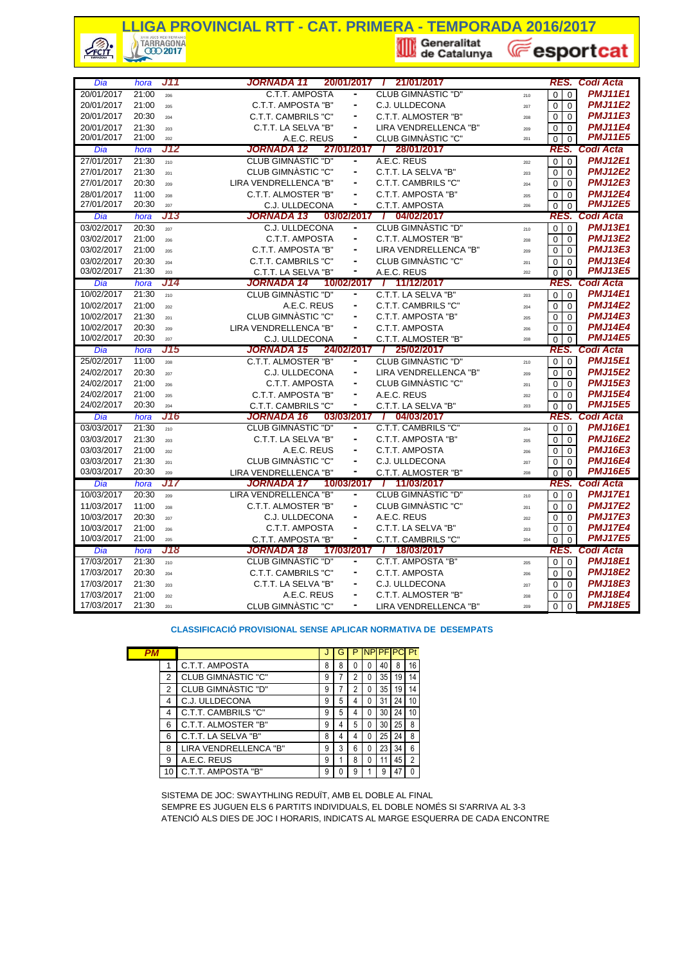## **LLIGA PROVINCIAL RTT - CAT. PRIMERA - TEMPORADA 2016/2017**<br> **A TARRAGONA**<br> **Export**

 $\frac{1}{\sqrt{r}}$ 

**E**esportcat

| Dia                      | hora           | J11        | 20/01/2017<br>JORNADA 11                             | / 21/01/2017                                        |                    | RES.                                                        | <b>Codi Acta</b>                 |
|--------------------------|----------------|------------|------------------------------------------------------|-----------------------------------------------------|--------------------|-------------------------------------------------------------|----------------------------------|
| 20/01/2017               | 21:00          | 206        | C.T.T. AMPOSTA                                       | CLUB GIMNASTIC "D"                                  |                    | $\mathbf 0$<br>$\mathbf 0$                                  | <b>PMJ11E1</b>                   |
| 20/01/2017               | 21:00          | 205        | C.T.T. AMPOSTA "B"<br>۰                              | C.J. ULLDECONA                                      | 210                | $\overline{0}$<br>$\Omega$                                  | <b>PMJ11E2</b>                   |
| 20/01/2017               | 20:30          |            | C.T.T. CAMBRILS "C"                                  | C.T.T. ALMOSTER "B"                                 | 207                | $\Omega$                                                    | <b>PMJ11E3</b>                   |
|                          | 21:30          | 204        |                                                      | LIRA VENDRELLENCA "B"                               | 208                | $\Omega$                                                    | <b>PMJ11E4</b>                   |
| 20/01/2017<br>20/01/2017 | 21:00          | 203        | C.T.T. LA SELVA "B"<br>٠                             |                                                     | 209                | $\Omega$<br>$\Omega$                                        | <b>PMJ11E5</b>                   |
|                          |                | 202<br>J12 | A.E.C. REUS<br>JORNADA 12                            | CLUB GIMNASTIC "C"<br>27/01/2017 / 28/01/2017       | 201                | $\Omega$<br>$\Omega$                                        | <b>Codi Acta</b>                 |
| Dia<br>27/01/2017        | hora<br>21:30  |            | <b>CLUB GIMNASTIC "D"</b>                            | A.E.C. REUS                                         |                    | RES.                                                        | <b>PMJ12E1</b>                   |
|                          |                | 210        | <b>CLUB GIMNÀSTIC "C"</b>                            | C.T.T. LA SELVA "B"                                 | 202                | $\mathbf 0$<br>$\mathbf 0$                                  | <b>PMJ12E2</b>                   |
| 27/01/2017               | 21:30          | 201        |                                                      |                                                     | 203                | $\mathbf 0$<br>$\mathbf 0$                                  |                                  |
| 27/01/2017               | 20:30          | 209        | LIRA VENDRELLENCA "B"<br>$\blacksquare$              | C.T.T. CAMBRILS "C"                                 | 204                | $\Omega$<br>$\Omega$                                        | <b>PMJ12E3</b>                   |
| 28/01/2017               | 11:00          | 208        | C.T.T. ALMOSTER "B"                                  | C.T.T. AMPOSTA "B"                                  | 205                | $\mathbf 0$<br>$\mathbf 0$                                  | <b>PMJ12E4</b>                   |
| 27/01/2017               | 20:30          | 207        | C.J. ULLDECONA<br>۰                                  | C.T.T. AMPOSTA                                      | 206                | $\mathbf 0$<br>$\Omega$                                     | <b>PMJ12E5</b>                   |
| Dia                      | hora           | J13        | JORNADA 13<br>03/02/2017                             | / 04/02/2017                                        |                    |                                                             | RES. Codi Acta                   |
| 03/02/2017               | 20:30          | 207        | C.J. ULLDECONA<br>٠                                  | CLUB GIMNASTIC "D"                                  | 210                | $\Omega$<br>$\overline{0}$                                  | <b>PMJ13E1</b>                   |
| 03/02/2017               | 21:00          | 206        | <b>C.T.T. AMPOSTA</b>                                | C.T.T. ALMOSTER "B"                                 | 208                | $\mathbf 0$<br>$\mathbf 0$                                  | <b>PMJ13E2</b>                   |
| 03/02/2017               | 21:00          | 205        | C.T.T. AMPOSTA "B"                                   | LIRA VENDRELLENCA "B"                               | 209                | $\mathbf 0$<br>$\mathbf 0$                                  | <b>PMJ13E3</b>                   |
| 03/02/2017               | 20:30          | 204        | C.T.T. CAMBRILS "C"                                  | CLUB GIMNASTIC "C"                                  | 201                | $\Omega$<br>$\Omega$                                        | <b>PMJ13E4</b>                   |
| 03/02/2017               | 21:30          | 203        | C.T.T. LA SELVA "B"                                  | A.E.C. REUS                                         | 202                | $\Omega$<br>$\Omega$                                        | <b>PMJ13E5</b>                   |
| Dia                      | hora           | J14        | JORNADA 14                                           | 10/02/2017 / 11/12/2017                             |                    |                                                             | RES. Codi Acta                   |
| 10/02/2017               | 21:30          | 210        | <b>CLUB GIMNASTIC "D"</b><br>$\blacksquare$          | C.T.T. LA SELVA "B"                                 | 203                | $\mathbf 0$<br>$\mathbf 0$                                  | <b>PMJ14E1</b>                   |
| 10/02/2017               | 21:00          | 202        | A.E.C. REUS<br>$\frac{1}{2}$                         | C.T.T. CAMBRILS "C"                                 | 204                | $\mathbf 0$<br>$\mathbf 0$                                  | <b>PMJ14E2</b>                   |
| 10/02/2017               | 21:30          | 201        | <b>CLUB GIMNÀSTIC "C"</b>                            | C.T.T. AMPOSTA "B"                                  | 205                | $\Omega$<br>$\Omega$                                        | <b>PMJ14E3</b>                   |
| 10/02/2017               | 20:30          | 209        | LIRA VENDRELLENCA "B"<br>$\overline{\phantom{a}}$    | C.T.T. AMPOSTA                                      | 206                | $\Omega$<br>$\Omega$                                        | <b>PMJ14E4</b>                   |
| 10/02/2017               | 20:30          | 207        | C.J. ULLDECONA                                       | C.T.T. ALMOSTER "B"                                 | 208                | $\mathbf 0$<br>$\Omega$                                     | <b>PMJ14E5</b>                   |
|                          |                |            |                                                      |                                                     |                    |                                                             |                                  |
| Dia                      | hora           | J15        | JORNADA 15<br>24/02/2017                             | 25/02/2017<br>$\top$                                |                    | RES.                                                        | <b>Codi Acta</b>                 |
| 25/02/2017               | 11:00          | 208        | C.T.T. ALMOSTER "B"                                  | <b>CLUB GIMNASTIC "D"</b>                           | 210                | $\mathbf 0$<br>$\Omega$                                     | <b>PMJ15E1</b>                   |
| 24/02/2017               | 20:30          | 207        | C.J. ULLDECONA<br>$\blacksquare$                     | LIRA VENDRELLENCA "B"                               | 209                | $\Omega$<br>$\Omega$                                        | <b>PMJ15E2</b>                   |
| 24/02/2017               | 21:00          | 206        | <b>C.T.T. AMPOSTA</b>                                | <b>CLUB GIMNÀSTIC "C"</b>                           | 201                | $\mathbf 0$<br>$\Omega$                                     | <b>PMJ15E3</b>                   |
| 24/02/2017               | 21:00          | 205        | C.T.T. AMPOSTA "B"                                   | A.E.C. REUS                                         | $\mathbf 0$<br>202 | $\mathbf 0$                                                 | <b>PMJ15E4</b>                   |
| 24/02/2017               | 20:30          | 204        | C.T.T. CAMBRILS "C"<br>۰                             | C.T.T. LA SELVA "B"                                 | 203                | $\Omega$<br>$\mathbf{0}$                                    | <b>PMJ15E5</b>                   |
| Dia                      | hora           | J16        | 03/03/2017<br>JORNADA 16                             | / 04/03/2017                                        |                    | RES.                                                        | Codi Acta                        |
| 03/03/2017               | 21:30          | 210        | CLUB GIMNASTIC "D"<br>۰                              | C.T.T. CAMBRILS "C"                                 | 204                | $\mathbf 0$<br>$\mathbf 0$                                  | <b>PMJ16E1</b>                   |
| 03/03/2017               | 21:30          | 203        | C.T.T. LA SELVA "B"                                  | C.T.T. AMPOSTA "B"                                  | 205                | $\mathbf 0$<br>$\mathbf 0$                                  | <b>PMJ16E2</b>                   |
| 03/03/2017               | 21:00          | 202        | A.E.C. REUS<br>$\frac{1}{2}$                         | C.T.T. AMPOSTA                                      | 206                | $\Omega$<br>$\Omega$                                        | <b>PMJ16E3</b>                   |
| 03/03/2017               | 21:30          | 201        | CLUB GIMNÀSTIC "C"                                   | C.J. ULLDECONA                                      | 207                | $\mathbf 0$<br>0                                            | <b>PMJ16E4</b>                   |
| 03/03/2017               | 20:30          | 209        | LIRA VENDRELLENCA "B"<br>۰                           | C.T.T. ALMOSTER "B"                                 | 208                | $\overline{0}$<br>$\Omega$                                  | <b>PMJ16E5</b>                   |
| Dia                      | hora           | J17        | JORNADA 17                                           | 10/03/2017 / 11/03/2017                             |                    | RES.                                                        | <b>Codi Acta</b>                 |
| 10/03/2017               | 20:30          | 209        | LIRA VENDRELLENCA "B"                                | <b>CLUB GIMNASTIC "D"</b>                           | $\mathbf 0$<br>210 | $\overline{0}$                                              | <b>PMJ17E1</b>                   |
| 11/03/2017               | 11:00          | 208        | C.T.T. ALMOSTER "B"                                  | CLUB GIMNASTIC "C"                                  | 201                | $\Omega$<br>$\Omega$                                        | <b>PMJ17E2</b>                   |
| 10/03/2017               | 20:30          | 207        | C.J. ULLDECONA                                       | A.E.C. REUS                                         | 202                | $\Omega$<br>$\Omega$                                        | <b>PMJ17E3</b>                   |
| 10/03/2017               |                | 206        | ۰                                                    | C.T.T. LA SELVA "B"                                 | 203                |                                                             | <b>PMJ17E4</b>                   |
| 10/03/2017               | 21:00<br>21:00 | 205        | <b>C.T.T. AMPOSTA</b>                                |                                                     | $\mathbf 0$<br>204 | 0                                                           | <b>PMJ17E5</b>                   |
| Dia                      |                | J18        | C.T.T. AMPOSTA "B"<br>JORNADA 18<br>17/03/2017       | C.T.T. CAMBRILS "C"<br>18/03/2017<br>$\overline{I}$ |                    | $\overline{0}$<br>$\mathbf 0$<br>RES.                       | Codi Acta                        |
| 17/03/2017               | hora<br>21:30  | 210        | <b>CLUB GIMNASTIC "D"</b>                            | C.T.T. AMPOSTA "B"                                  | 205                | $\mathbf 0$<br>$\mathbf 0$                                  | <b>PMJ18E1</b>                   |
|                          |                |            | ۰                                                    |                                                     |                    |                                                             |                                  |
| 17/03/2017               | 20:30          | 204        | <b>C.T.T. CAMBRILS "C"</b>                           | C.T.T. AMPOSTA                                      | 206                | $\mathbf 0$<br>$\mathbf 0$                                  | <b>PMJ18E2</b>                   |
| 17/03/2017<br>17/03/2017 | 21:30<br>21:00 | 203<br>202 | C.T.T. LA SELVA "B"<br>A.E.C. REUS<br>$\blacksquare$ | C.J. ULLDECONA<br>C.T.T. ALMOSTER "B"               | 207<br>208         | $\mathbf 0$<br>$\mathbf 0$<br>$\overline{0}$<br>$\mathbf 0$ | <b>PMJ18E3</b><br><b>PMJ18E4</b> |

**CLASSIFICACIÓ PROVISIONAL SENSE APLICAR NORMATIVA DE DESEMPATS**

| PМ |   |                       |   | G | P | <b>NPPFIP</b> |    |    | Pt             |
|----|---|-----------------------|---|---|---|---------------|----|----|----------------|
|    |   | C.T.T. AMPOSTA        | 8 | 8 |   | 0             | 40 | 8  | 16             |
|    | 2 | CLUB GIMNASTIC "C"    | 9 |   | 2 | 0             | 35 | 19 | 14             |
|    | 2 | CLUB GIMNASTIC "D"    | 9 |   | 2 | 0             | 35 | 19 | 14             |
|    | 4 | C.J. ULLDECONA        | 9 | 5 | 4 | 0             | 31 | 24 | 10             |
|    | 4 | C.T.T. CAMBRILS "C"   | 9 | 5 | 4 | 0             | 30 | 24 | 10             |
|    | 6 | C.T.T. ALMOSTER "B"   | 9 | 4 | 5 | 0             | 30 | 25 | 8              |
|    | 6 | C.T.T. LA SELVA "B"   | 8 | 4 |   | 0             | 25 | 24 | 8              |
|    | 8 | LIRA VENDRELLENCA "B" | 9 | 3 | 6 | 0             | 23 | 34 | 6              |
|    | 9 | A.E.C. REUS           | 9 |   | 8 | 0             |    | 45 | $\overline{2}$ |
|    |   | C.T.T. AMPOSTA "B"    | 9 | N | 9 |               | 9  |    |                |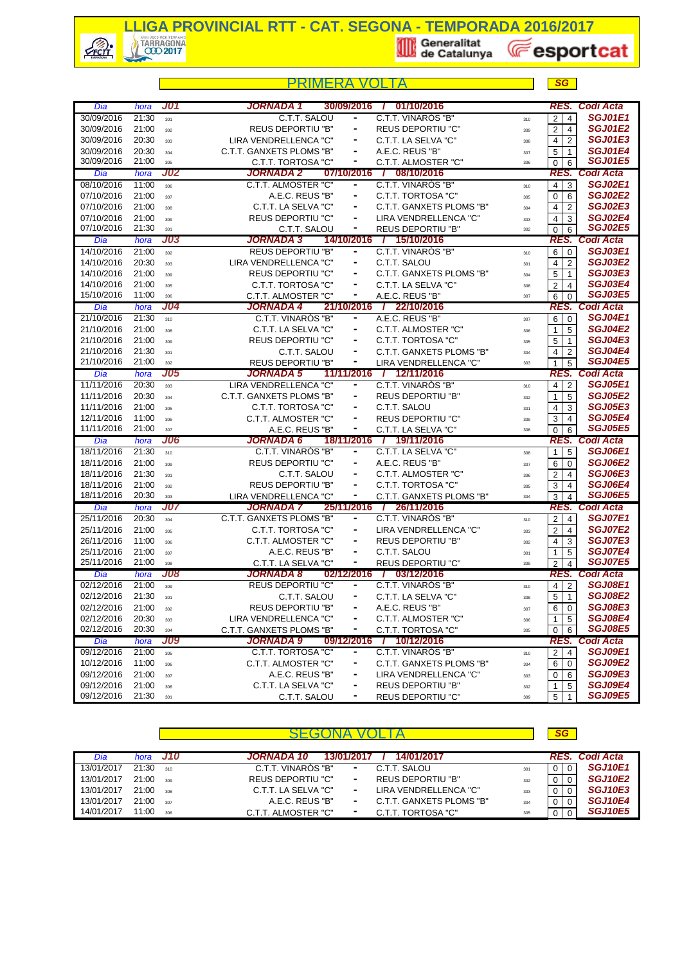

**E**esportcat

*SG*

|            |       |            | PRIMERA                   | V(                           |                              |     | <b>SG</b>                                 |                       |
|------------|-------|------------|---------------------------|------------------------------|------------------------------|-----|-------------------------------------------|-----------------------|
| Dia        | hora  | <b>J01</b> | JORNADA 1                 | 30/09/2016                   | 01/10/2016<br>$\mathcal{L}$  |     | RES.                                      | Codi Acta             |
| 30/09/2016 | 21:30 | 301        | C.T.T. SALOU              | -                            | C.T.T. VINARÓS "B"           | 310 | $\overline{2}$<br>4                       | <b>SGJ01E1</b>        |
| 30/09/2016 | 21:00 | 302        | <b>REUS DEPORTIU "B"</b>  | ۰                            | <b>REUS DEPORTIU "C"</b>     | 309 | $\overline{2}$<br>$\overline{4}$          | <b>SGJ01E2</b>        |
| 30/09/2016 | 20:30 | 303        | LIRA VENDRELLENCA "C"     | $\frac{1}{2}$                | C.T.T. LA SELVA "C"          | 308 | 2<br>4                                    | <b>SGJ01E3</b>        |
| 30/09/2016 | 20:30 | 304        | C.T.T. GANXETS PLOMS "B"  |                              | A.E.C. REUS "B"              | 307 | 5<br>$\overline{1}$                       | <b>SGJ01E4</b>        |
| 30/09/2016 | 21:00 | 305        | C.T.T. TORTOSA "C"        | ۰                            | C.T.T. ALMOSTER "C"          | 306 | $\mathbf 0$<br>6                          | <b>SGJ01E5</b>        |
| Dia        | hora  | <b>J02</b> | JORNADA 2                 | 07/10/2016                   | 7 08/10/2016                 |     |                                           | RES. Codi Acta        |
| 08/10/2016 | 11:00 | 306        | C.T.T. ALMOSTER "C"       | ۰                            | C.T.T. VINARÒS "B"           | 310 | $\mathbf{3}$<br>$\overline{4}$            | <b>SGJ02E1</b>        |
| 07/10/2016 | 21:00 | 307        | A.E.C. REUS "B"           | -                            | C.T.T. TORTOSA "C"           | 305 | $\mathbf 0$<br>6                          | <b>SGJ02E2</b>        |
| 07/10/2016 | 21:00 | 308        | C.T.T. LA SELVA "C"       | ۰                            | C.T.T. GANXETS PLOMS "B"     | 304 | $\overline{2}$<br>4                       | <b>SGJ02E3</b>        |
| 07/10/2016 | 21:00 | 309        | <b>REUS DEPORTIU "C"</b>  |                              | LIRA VENDRELLENCA "C"        | 303 | 3<br>4                                    | <b>SGJ02E4</b>        |
| 07/10/2016 | 21:30 | 301        | C.T.T. SALOU              | ۰                            | <b>REUS DEPORTIU "B"</b>     | 302 | $\mathbf 0$<br>6                          | <b>SGJ02E5</b>        |
| Dia        | hora  | <b>J03</b> | JORNADA 3                 | 14/10/2016                   | / 15/10/2016                 |     | RES.                                      | Codi Acta             |
| 14/10/2016 | 21:00 | 302        | <b>REUS DEPORTIU "B"</b>  | ۰                            | C.T.T. VINAROS "B"           | 310 | 6<br>$\overline{0}$                       | <b>SGJ03E1</b>        |
| 14/10/2016 | 20:30 | 303        | LIRA VENDRELLENCA "C"     | ۰                            | C.T.T. SALOU                 | 301 | $\overline{2}$<br>$\overline{4}$          | <b>SGJ03E2</b>        |
| 14/10/2016 | 21:00 | 309        | <b>REUS DEPORTIU "C"</b>  |                              | C.T.T. GANXETS PLOMS "B"     | 304 | 5<br>$\overline{1}$                       | <b>SGJ03E3</b>        |
| 14/10/2016 | 21:00 | 305        | C.T.T. TORTOSA "C"        |                              | C.T.T. LA SELVA "C"          | 308 | 2<br>$\overline{4}$                       | <b>SGJ03E4</b>        |
| 15/10/2016 | 11:00 | 306        | C.T.T. ALMOSTER "C"       | ۰                            | A.E.C. REUS "B"              | 307 | 6<br>$\overline{0}$                       | <b>SGJ03E5</b>        |
| Dia        | hora  | <b>J04</b> | JORNADA 4                 |                              | 21/10/2016 / 22/10/2016      |     |                                           | RES. Codi Acta        |
| 21/10/2016 | 21:30 | 310        | C.T.T. VINARÓS "B"        | ۰                            | A.E.C. REUS "B"              | 307 | 6<br>$\overline{0}$                       | <b>SGJ04E1</b>        |
| 21/10/2016 | 21:00 | 308        | C.T.T. LA SELVA "C"       |                              | C.T.T. ALMOSTER "C"          | 306 | 5<br>$\mathbf{1}$                         | <b>SGJ04E2</b>        |
| 21/10/2016 | 21:00 | 309        | <b>REUS DEPORTIU "C"</b>  | ۰                            | C.T.T. TORTOSA "C"           | 305 | 5<br>$\overline{1}$                       | <b>SGJ04E3</b>        |
| 21/10/2016 | 21:30 | 301        | C.T.T. SALOU              | ۰                            | C.T.T. GANXETS PLOMS "B"     | 304 | $\overline{2}$<br>4                       | <b>SGJ04E4</b>        |
| 21/10/2016 | 21:00 | 302        | <b>REUS DEPORTIU "B"</b>  | ۰                            | LIRA VENDRELLENCA "C"        | 303 | $\mathbf{1}$<br>5                         | <b>SGJ04E5</b>        |
| Dia        | hora  | <b>J05</b> | <b>JORNADA 5</b>          | 11/11/2016                   | 7 12/11/2016                 |     |                                           | RES. Codi Acta        |
| 11/11/2016 | 20:30 | 303        | LIRA VENDRELLENCA "C"     | ۰                            | C.T.T. VINARÓS "B"           | 310 | $\overline{2}$<br>$\overline{4}$          | <b>SGJ05E1</b>        |
| 11/11/2016 | 20:30 | 304        | C.T.T. GANXETS PLOMS "B"  | ۰                            | <b>REUS DEPORTIU "B"</b>     | 302 | 5<br>1                                    | <b>SGJ05E2</b>        |
| 11/11/2016 | 21:00 | 305        | C.T.T. TORTOSA "C"        | ۰                            | C.T.T. SALOU                 | 301 | 3<br>4                                    | <b>SGJ05E3</b>        |
| 12/11/2016 | 11:00 | 306        | C.T.T. ALMOSTER "C"       |                              | <b>REUS DEPORTIU "C"</b>     | 309 | 3<br>$\overline{4}$                       | <b>SGJ05E4</b>        |
| 11/11/2016 | 21:00 | 307        | A.E.C. REUS "B"           | $\qquad \qquad \blacksquare$ | C.T.T. LA SELVA "C"          | 308 | $\mathbf 0$<br>6                          | <b>SGJ05E5</b>        |
| Dia        | hora  | <b>J06</b> | JORNADA 6                 | 18/11/2016                   | 7 19/11/2016                 |     |                                           | RES. Codi Acta        |
| 18/11/2016 | 21:30 | 310        | C.T.T. VINAROS "B"        |                              | C.T.T. LA SELVA "C"          | 308 | $5^{\circ}$<br>$\mathbf{1}$               | <b>SGJ06E1</b>        |
| 18/11/2016 | 21:00 | 309        | REUS DEPORTIU "C"         | $\frac{1}{2}$                | A.E.C. REUS "B"              | 307 | 6<br>$\overline{0}$                       | <b>SGJ06E2</b>        |
| 18/11/2016 | 21:30 | 301        | C.T.T. SALOU              | ۰                            | C.T.T. ALMOSTER "C"          | 306 | 2<br>$\overline{4}$                       | <b>SGJ06E3</b>        |
| 18/11/2016 | 21:00 | 302        | <b>REUS DEPORTIU "B"</b>  | ۰                            | C.T.T. TORTOSA "C"           | 305 | 3<br>$\overline{4}$                       | <b>SGJ06E4</b>        |
| 18/11/2016 | 20:30 | 303        | LIRA VENDRELLENCA "C"     | ۰                            | C.T.T. GANXETS PLOMS "B"     | 304 | 3<br>$\overline{4}$                       | <b>SGJ06E5</b>        |
| Dia        | hora  | J07        | JORNADA 7                 | 25/11/2016                   | 26/11/2016<br>$\mathcal{L}$  |     |                                           | RES. Codi Acta        |
| 25/11/2016 | 20:30 | 304        | C.T.T. GANXETS PLOMS "B"  |                              | C.T.T. VINARÒS "B"           | 310 | 2 4                                       | <b>SGJ07E1</b>        |
| 25/11/2016 | 21:00 | 305        | C.T.T. TORTOSA "C"        | ۰                            | LIRA VENDRELLENCA "C"        | 303 | $\overline{c}$<br>$\overline{4}$          | <b>SGJ07E2</b>        |
| 26/11/2016 | 11:00 | 306        | C.T.T. ALMOSTER "C"       |                              | <b>REUS DEPORTIU "B"</b>     | 302 | 3<br>4                                    | <b>SGJ07E3</b>        |
| 25/11/2016 | 21:00 | 307        | A.E.C. REUS "B"           | $\overline{\phantom{0}}$     | C.T.T. SALOU                 | 301 | 5<br>$\mathbf{1}$                         | <b>SGJ07E4</b>        |
| 25/11/2016 | 21:00 | 308        | C.T.T. LA SELVA "C"       | -                            | REUS DEPORTIU "C"            | 309 | $\overline{2}$<br>$\overline{4}$          | <b>SGJ07E5</b>        |
| Dia        | hora  | <b>J08</b> | JORNADA 8                 | 02/12/2016                   | 7 03/12/2016                 |     |                                           | <b>RES. Codi Acta</b> |
| 02/12/2016 | 21:00 | 309        | <b>REUS DEPORTIU "C"</b>  |                              | C.T.T. VINARÓS "B"           | 310 | $4 \mid 2 \mid$                           | <b>SGJ08E1</b>        |
| 02/12/2016 | 21:30 | 301        | C.T.T. SALOU              |                              | C.T.T. LA SELVA "C"          | 308 | 5<br>$\overline{1}$                       | <b>SGJ08E2</b>        |
| 02/12/2016 | 21:00 | 302        | <b>REUS DEPORTIU "B"</b>  |                              | A.E.C. REUS "B"              | 307 | 6<br>$\overline{0}$                       | <b>SGJ08E3</b>        |
| 02/12/2016 | 20:30 | 303        | LIRA VENDRELLENCA "C"     |                              | C.T.T. ALMOSTER "C"          | 306 | 1<br>5                                    | SGJ08E4               |
| 02/12/2016 | 20:30 | 304        | C.T.T. GANXETS PLOMS "B"  |                              | C.T.T. TORTOSA "C"           | 305 | 0<br>-6                                   | <b>SGJ08E5</b>        |
| Dia        | hora  | <b>J09</b> | <b>JORNADA 9</b>          | 09/12/2016                   | 10/12/2016<br>$\overline{I}$ |     | RES.                                      | <b>Codi Acta</b>      |
| 09/12/2016 | 21:00 | 305        | <b>C.T.T. TORTOSA "C"</b> | ۰                            | C.T.T. VINARÓS "B"           | 310 | $\overline{\mathbf{c}}$<br>$\overline{4}$ | <b>SGJ09E1</b>        |
| 10/12/2016 | 11:00 | 306        | C.T.T. ALMOSTER "C"       | ۰                            | C.T.T. GANXETS PLOMS "B"     | 304 | 6<br>$\overline{0}$                       | <b>SGJ09E2</b>        |
| 09/12/2016 | 21:00 | 307        | A.E.C. REUS "B"           |                              | LIRA VENDRELLENCA "C"        | 303 | 0<br>6                                    | SGJ09E3               |
| 09/12/2016 | 21:00 | 308        | C.T.T. LA SELVA "C"       |                              | <b>REUS DEPORTIU "B"</b>     | 302 | 5<br>1                                    | <b>SGJ09E4</b>        |
| 09/12/2016 | 21:30 | 301        | C.T.T. SALOU              |                              | REUS DEPORTIU "C"            | 309 | $5 \mid 1$                                | <b>SGJ09E5</b>        |

|            |       |                 |                                                           | SG |                |
|------------|-------|-----------------|-----------------------------------------------------------|----|----------------|
| Dia        |       | hora <b>J10</b> | 14/01/2017<br>JORNADA 10.<br>13/01/2017                   |    | RES. Codi Acta |
| 13/01/2017 | 21:30 | 310             | C.T.T. VINARÒS "B"<br>C.T.T. SALOU<br>۰<br>301            |    | <b>SGJ10E1</b> |
| 13/01/2017 | 21:00 | 309             | <b>REUS DEPORTIU "B"</b><br>REUS DEPORTIU "C"<br>۰<br>302 |    | <b>SGJ10E2</b> |
| 13/01/2017 | 21:00 | 308             | LIRA VENDRELLENCA "C"<br>C.T.T. LA SELVA "C"<br>۰<br>303  |    | <b>SGJ10E3</b> |
| 13/01/2017 | 21:00 | 307             | C.T.T. GANXETS PLOMS "B"<br>A.E.C. REUS "B"<br>۰<br>304   |    | <b>SGJ10E4</b> |
| 14/01/2017 | 11:00 | 306             | C.T.T. TORTOSA "C"<br>C.T.T. ALMOSTER "C"<br>۰<br>305     |    | <b>SGJ10E5</b> |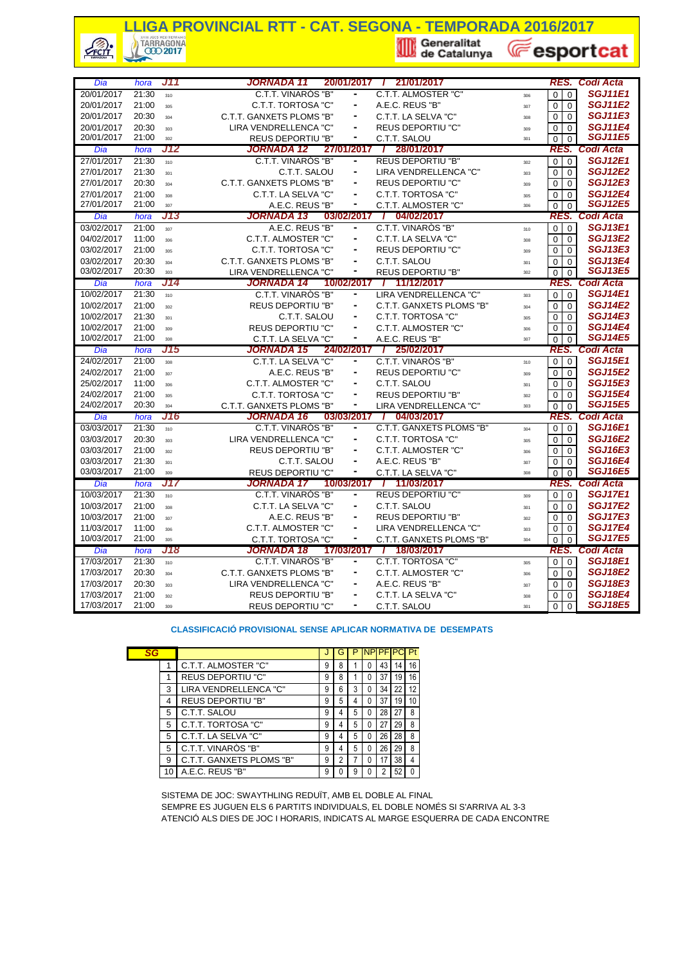# **LLIGA PROVINCIAL RTT - CAT. SEGONA - TEMPORADA 2016/2017**<br> **Export** (*C*) TARRAGONA<br> **Export**

 $\frac{1}{\sqrt{2}}$ 

**E**esportcat

| Dia                      | hora           | J11 | <b>JORNADA 11</b>        | 20/01/2017               | 21/01/2017<br>$\overline{I}$ |     | RES.                            | Codi Acta                        |
|--------------------------|----------------|-----|--------------------------|--------------------------|------------------------------|-----|---------------------------------|----------------------------------|
| 20/01/2017               | 21:30          | 310 | C.T.T. VINARÒS "B"       |                          | C.T.T. ALMOSTER "C"          | 306 | $\overline{0}$<br>$\Omega$      | <b>SGJ11E1</b>                   |
| 20/01/2017               | 21:00          | 305 | C.T.T. TORTOSA "C"       | $\blacksquare$           | A.E.C. REUS "B"              | 307 | $\Omega$<br>$\Omega$            | <b>SGJ11E2</b>                   |
| 20/01/2017               | 20:30          | 304 | C.T.T. GANXETS PLOMS "B" |                          | C.T.T. LA SELVA "C"          | 308 | $\mathbf 0$<br>0                | <b>SGJ11E3</b>                   |
| 20/01/2017               | 20:30          | 303 | LIRA VENDRELLENCA "C"    | ۰                        | <b>REUS DEPORTIU "C"</b>     | 309 | $\mathbf 0$<br>$\mathbf 0$      | <b>SGJ11E4</b>                   |
| 20/01/2017               | 21:00          | 302 | <b>REUS DEPORTIU "B"</b> | ٠                        | C.T.T. SALOU                 | 301 | $\mathbf 0$<br>$\mathbf 0$      | <b>SGJ11E5</b>                   |
| Dia                      | hora           | J12 | <b>JORNADA 12</b>        | 27/01/2017               | 28/01/2017<br>$\overline{1}$ |     | RES.                            | Codi Acta                        |
| 27/01/2017               | 21:30          | 310 | C.T.T. VINARÓS "B"       |                          | <b>REUS DEPORTIU "B"</b>     | 302 | $\Omega$<br>$\Omega$            | <b>SGJ12E1</b>                   |
| 27/01/2017               | 21:30          | 301 | C.T.T. SALOU             | ٠                        | LIRA VENDRELLENCA "C"        | 303 | $\Omega$<br>$\Omega$            | <b>SGJ12E2</b>                   |
| 27/01/2017               | 20:30          | 304 | C.T.T. GANXETS PLOMS "B" | $\blacksquare$           | <b>REUS DEPORTIU "C"</b>     | 309 | $\mathbf 0$<br>$\mathbf 0$      | <b>SGJ12E3</b>                   |
| 27/01/2017               | 21:00          | 308 | C.T.T. LA SELVA "C"      | $\blacksquare$           | C.T.T. TORTOSA "C"           | 305 | $\mathbf 0$<br>$\mathbf 0$      | <b>SGJ12E4</b>                   |
| 27/01/2017               | 21:00          | 307 | A.E.C. REUS "B"          | -                        | C.T.T. ALMOSTER "C"          | 306 | $\Omega$<br>$\Omega$            | <b>SGJ12E5</b>                   |
| Dia                      | hora           | J13 | JORNADA 13               | 03/02/2017               | / 04/02/2017                 |     | RES.                            | <b>Codi Acta</b>                 |
| 03/02/2017               | 21:00          | 307 | A.E.C. REUS "B"          | ۰                        | C.T.T. VINARÓS "B"           | 310 | $\Omega$<br>$\Omega$            | <b>SGJ13E1</b>                   |
| 04/02/2017               | 11:00          | 306 | C.T.T. ALMOSTER "C"      | $\blacksquare$           | C.T.T. LA SELVA "C"          | 308 | $\mathbf 0$<br>$\mathbf 0$      | <b>SGJ13E2</b>                   |
| 03/02/2017               | 21:00          | 305 | C.T.T. TORTOSA "C"       | $\blacksquare$           | <b>REUS DEPORTIU "C"</b>     | 309 | $\mathbf 0$<br>$\mathbf 0$      | <b>SGJ13E3</b>                   |
| 03/02/2017               | 20:30          | 304 | C.T.T. GANXETS PLOMS "B" | ۰                        | C.T.T. SALOU                 | 301 | $\mathbf 0$<br>$\mathbf 0$      | <b>SGJ13E4</b>                   |
| 03/02/2017               | 20:30          | 303 | LIRA VENDRELLENCA "C"    | ۰                        | <b>REUS DEPORTIU "B"</b>     | 302 | $\Omega$<br>$\Omega$            | <b>SGJ13E5</b>                   |
| Dia                      | hora           | J14 | <b>JORNADA 14</b>        | 10/02/2017               | 1 11/12/2017                 |     | RES.                            | Codi Acta                        |
| 10/02/2017               | 21:30          | 310 | C.T.T. VINARÒS "B"       | ۰                        | LIRA VENDRELLENCA "C"        | 303 | $\Omega$<br>$\Omega$            | <b>SGJ14E1</b>                   |
| 10/02/2017               | 21:00          | 302 | <b>REUS DEPORTIU "B"</b> | $\blacksquare$           | C.T.T. GANXETS PLOMS "B"     | 304 | $\mathbf 0$<br>$\boldsymbol{0}$ | <b>SGJ14E2</b>                   |
| 10/02/2017               | 21:30          | 301 | C.T.T. SALOU             |                          | C.T.T. TORTOSA "C"           | 305 | $\mathbf 0$<br>$\mathbf 0$      | <b>SGJ14E3</b>                   |
| 10/02/2017               | 21:00          | 309 | <b>REUS DEPORTIU "C"</b> | ä,                       | C.T.T. ALMOSTER "C"          | 306 | $\mathbf 0$<br>$\mathbf 0$      | <b>SGJ14E4</b>                   |
| 10/02/2017               | 21:00          | 308 | C.T.T. LA SELVA "C"      |                          | A.E.C. REUS "B"              | 307 | $\Omega$<br>$\Omega$            | <b>SGJ14E5</b>                   |
|                          |                |     |                          |                          |                              |     |                                 |                                  |
| Dia                      | hora           | J15 | <b>JORNADA 15</b>        | 24/02/2017               | 25/02/2017<br>$\mathbf{I}$   |     | RES.                            | Codi Acta                        |
| 24/02/2017               | 21:00          | 308 | C.T.T. LA SELVA "C"      |                          | C.T.T. VINARÓS "B"           | 310 | $\Omega$<br>$\mathbf 0$         | <b>SGJ15E1</b>                   |
| 24/02/2017               | 21:00          | 307 | A.E.C. REUS "B"          | $\blacksquare$           | <b>REUS DEPORTIU "C"</b>     | 309 | $\mathbf 0$<br>$\mathbf 0$      | <b>SGJ15E2</b>                   |
| 25/02/2017               | 11:00          | 306 | C.T.T. ALMOSTER "C"      | ۰                        | C.T.T. SALOU                 | 301 | $\mathbf 0$<br>$\mathbf 0$      | <b>SGJ15E3</b>                   |
| 24/02/2017               | 21:00          | 305 | C.T.T. TORTOSA "C"       | ÷,                       | <b>REUS DEPORTIU "B"</b>     | 302 | $\mathbf 0$<br>$\Omega$         | <b>SGJ15E4</b>                   |
| 24/02/2017               | 20:30          | 304 | C.T.T. GANXETS PLOMS "B" | -                        | LIRA VENDRELLENCA "C"        | 303 | $\overline{0}$<br>$\Omega$      | <b>SGJ15E5</b>                   |
| Dia                      | hora           | J16 | <b>JORNADA 16</b>        | 03/03/2017               | 7 04/03/2017                 |     | RES.                            | Codi Acta                        |
| 03/03/2017               | 21:30          | 310 | C.T.T. VINARÒS "B"       |                          | C.T.T. GANXETS PLOMS "B"     | 304 | $\mathbf 0$<br>$\mathbf 0$      | <b>SGJ16E1</b>                   |
| 03/03/2017               | 20:30          | 303 | LIRA VENDRELLENCA "C"    |                          | C.T.T. TORTOSA "C"           | 305 | $\mathbf 0$<br>$\mathbf 0$      | <b>SGJ16E2</b>                   |
| 03/03/2017               | 21:00          | 302 | <b>REUS DEPORTIU "B"</b> | $\blacksquare$           | C.T.T. ALMOSTER "C"          | 306 | $\mathbf 0$<br>$\mathbf 0$      | <b>SGJ16E3</b>                   |
| 03/03/2017               | 21:30          | 301 | C.T.T. SALOU             | -                        | A.E.C. REUS "B"              | 307 | $\Omega$<br>$\Omega$            | <b>SGJ16E4</b>                   |
| 03/03/2017               | 21:00          | 309 | <b>REUS DEPORTIU "C"</b> | ۰                        | C.T.T. LA SELVA "C"          | 308 | $\Omega$<br>$\Omega$            | <b>SGJ16E5</b>                   |
| Dia                      | hora           | J17 | <b>JORNADA 17</b>        | 10/03/2017               | 7 11/03/2017                 |     | RES.                            | Codi Acta                        |
| 10/03/2017               | 21:30          | 310 | C.T.T. VINARÓS "B"       | ٠                        | <b>REUS DEPORTIU "C"</b>     | 309 | $\mathbf 0$<br>$\mathbf 0$      | <b>SGJ17E1</b>                   |
| 10/03/2017               | 21:00          | 308 | C.T.T. LA SELVA "C"      | ٠                        | C.T.T. SALOU                 | 301 | $\mathbf 0$<br>$\mathbf 0$      | <b>SGJ17E2</b>                   |
| 10/03/2017               | 21:00          | 307 | A.E.C. REUS "B"          | $\overline{\phantom{a}}$ | REUS DEPORTIU "B"            | 302 | $\mathbf 0$<br>$\mathbf 0$      | <b>SGJ17E3</b>                   |
| 11/03/2017               | 11:00          | 306 | C.T.T. ALMOSTER "C"      | $\blacksquare$           | LIRA VENDRELLENCA "C"        | 303 | $\Omega$<br>$\Omega$            | <b>SGJ17E4</b>                   |
| 10/03/2017               | 21:00          | 305 | C.T.T. TORTOSA "C"       | ٠                        | C.T.T. GANXETS PLOMS "B"     | 304 | $\Omega$<br>$\Omega$            | <b>SGJ17E5</b>                   |
| Dia                      | hora           | J18 | <b>JORNADA 18</b>        | 17/03/2017               | / 18/03/2017                 |     | RES.                            | Codi Acta                        |
| 17/03/2017               | 21:30          | 310 | C.T.T. VINAROS "B"       |                          | <b>C.T.T. TORTOSA "C"</b>    | 305 | $\mathbf 0$<br>$\mathbf{0}$     | <b>SGJ18E1</b>                   |
| 17/03/2017               | 20:30          | 304 | C.T.T. GANXETS PLOMS "B" | ۰                        | C.T.T. ALMOSTER "C"          | 306 | $\mathbf 0$<br>$\mathbf 0$      | <b>SGJ18E2</b>                   |
| 17/03/2017               | 20:30          | 303 | LIRA VENDRELLENCA "C"    | ۰                        | A.E.C. REUS "B"              | 307 | $\Omega$<br>$\mathbf 0$         | <b>SGJ18E3</b>                   |
| 17/03/2017<br>17/03/2017 | 21:00<br>21:00 | 302 | <b>REUS DEPORTIU "B"</b> | $\blacksquare$           | C.T.T. LA SELVA "C"          | 308 | $\mathbf 0$<br>$\mathbf 0$      | <b>SGJ18E4</b><br><b>SGJ18E5</b> |

#### **CLASSIFICACIÓ PROVISIONAL SENSE APLICAR NORMATIVA DE DESEMPATS**

| SG |    |                          |   | G |   | <b>NP</b> | <b>PF</b>      |    | Pt |
|----|----|--------------------------|---|---|---|-----------|----------------|----|----|
|    |    | C.T.T. ALMOSTER "C"      | 9 | 8 |   | 0         | 43             | 14 | 16 |
|    |    | <b>REUS DEPORTIU "C"</b> | 9 | 8 |   | 0         | 37             | 19 | 16 |
|    | 3  | LIRA VENDRELLENCA "C"    | 9 | 6 | 3 | 0         | 34             | 22 | 12 |
|    | 4  | <b>REUS DEPORTIU "B"</b> | 9 | 5 | 4 | 0         | 37             | 19 | 10 |
|    | 5  | C.T.T. SALOU             | 9 | 4 | 5 | 0         | 28             | 27 | 8  |
|    | 5  | C.T.T. TORTOSA "C"       | 9 | 4 | 5 | 0         | 27             | 29 | 8  |
|    | 5  | C.T.T. LA SELVA "C"      | 9 | 4 | 5 | 0         | 26             | 28 | 8  |
|    | 5  | C.T.T. VINARÒS "B"       | 9 | 4 | 5 | 0         | 26             | 29 | 8  |
| 9  |    | C.T.T. GANXETS PLOMS "B" | 9 | 2 |   | 0         | 17             | 38 |    |
|    | 10 | A.E.C. REUS "B"          | 9 |   | 9 | 0         | $\overline{2}$ | 52 |    |
|    |    |                          |   |   |   |           |                |    |    |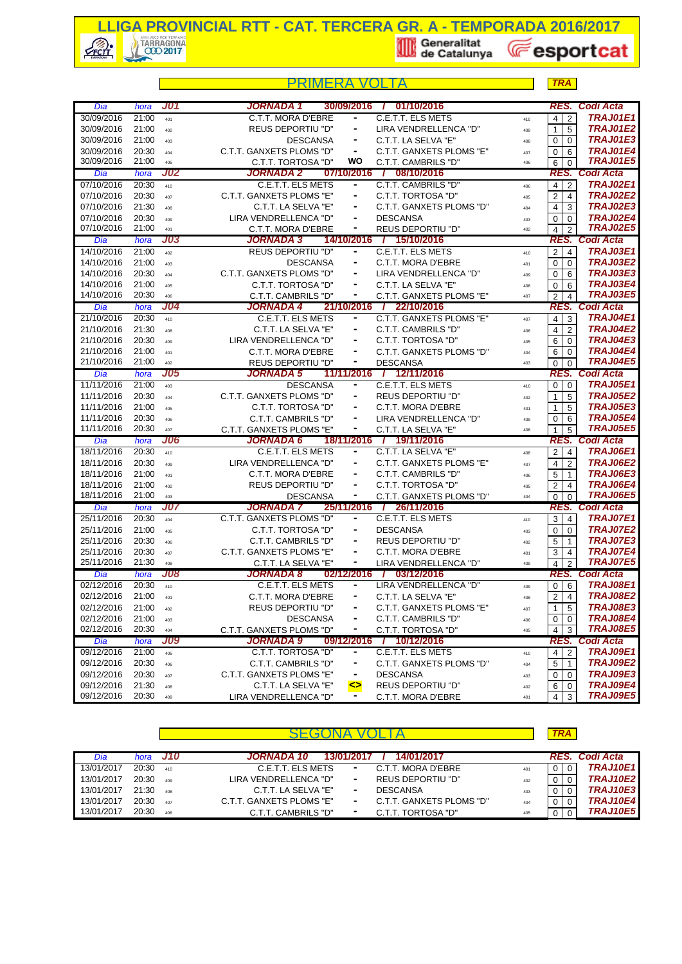

|                          |                |                   | PRIMFRA                                      |                |                                                     |            | <b>TRA</b>                       |                                    |
|--------------------------|----------------|-------------------|----------------------------------------------|----------------|-----------------------------------------------------|------------|----------------------------------|------------------------------------|
| Dia                      | hora           | <b>J01</b>        | <b>JORNADA 1</b>                             | 30/09/2016     | 01/10/2016<br>$\mathbf{I}$                          |            | RES.                             | <b>Codi Acta</b>                   |
| 30/09/2016               | 21:00          | 401               | C.T.T. MORA D'EBRE                           |                | C.E.T.T. ELS METS                                   | 410        | $\overline{2}$<br>$\overline{4}$ | <b>TRAJ01E1</b>                    |
| 30/09/2016               | 21:00          | 402               | <b>REUS DEPORTIU "D"</b>                     | ۰              | LIRA VENDRELLENCA "D"                               | 409        | 5<br>$\mathbf{1}$                | <b>TRAJ01E2</b>                    |
| 30/09/2016               | 21:00          | 403               | <b>DESCANSA</b>                              | ۰              | C.T.T. LA SELVA "E"                                 | 408        | $\overline{0}$<br>$\Omega$       | TRAJ01E3                           |
| 30/09/2016               | 20:30          | 404               | C.T.T. GANXETS PLOMS "D"                     | $\blacksquare$ | C.T.T. GANXETS PLOMS "E"                            | 407        | 0<br>6                           | TRAJ01E4                           |
| 30/09/2016               | 21:00          | 405               | C.T.T. TORTOSA "D"                           | wo             | C.T.T. CAMBRILS "D"                                 | 406        | 6<br>$\Omega$                    | <b>TRAJ01E5</b>                    |
| Dia                      | hora           | <b>J02</b>        | JORNADA 2                                    |                | 07/10/2016 / 08/10/2016                             |            |                                  | RES. Codi Acta                     |
| 07/10/2016               | 20:30          | 410               | C.E.T.T. ELS METS                            | ۰              | C.T.T. CAMBRILS "D"                                 | 406        | $\overline{4}$<br>$\overline{2}$ | <b>TRAJ02E1</b>                    |
| 07/10/2016               | 20:30          | 407               | C.T.T. GANXETS PLOMS "E"                     | ۰              | C.T.T. TORTOSA "D"                                  | 405        | 2 <sup>1</sup><br>$\overline{4}$ | <b>TRAJ02E2</b>                    |
| 07/10/2016               | 21:30          | 408               | C.T.T. LA SELVA "E"                          | ۰              | C.T.T. GANXETS PLOMS "D"                            | 404        | $\overline{4}$<br>3              | <b>TRAJ02E3</b>                    |
| 07/10/2016               | 20:30          | 409               | LIRA VENDRELLENCA "D"                        |                | <b>DESCANSA</b>                                     | 403        | $\overline{0}$<br>$\mathbf 0$    | <b>TRAJ02E4</b>                    |
| 07/10/2016               | 21:00          | 401               | C.T.T. MORA D'EBRE                           | ٠              | <b>REUS DEPORTIU "D"</b>                            | 402        | $\overline{4}$<br>2              | <b>TRAJ02E5</b><br>Codi Acta       |
| Dia                      | hora           | J03               | <b>JORNADA 3</b>                             | 14/10/2016     | / 15/10/2016                                        |            | RES.                             | <b>TRAJ03E1</b>                    |
| 14/10/2016               | 21:00          | 402               | <b>REUS DEPORTIU "D"</b>                     | ۰              | C.E.T.T. ELS METS                                   | 410        | 2 <sub>1</sub><br>$\overline{4}$ | <b>TRAJ03E2</b>                    |
| 14/10/2016               | 21:00          | 403               | <b>DESCANSA</b>                              | ٠              | C.T.T. MORA D'EBRE                                  | 401        | $\overline{0}$<br>$\mathbf 0$    | <b>TRAJ03E3</b>                    |
| 14/10/2016               | 20:30          | 404               | C.T.T. GANXETS PLOMS "D"                     |                | LIRA VENDRELLENCA "D"                               | 409        | 0<br>6                           |                                    |
| 14/10/2016<br>14/10/2016 | 21:00<br>20:30 | 405               | C.T.T. TORTOSA "D"                           | ٠<br>۰         | C.T.T. LA SELVA "E"                                 | 408        | 0<br>6                           | <b>TRAJ03E4</b><br><b>TRAJ03E5</b> |
|                          |                | 406<br>J04        | C.T.T. CAMBRILS "D"                          |                | C.T.T. GANXETS PLOMS "E"<br>21/10/2016 / 22/10/2016 | 407        | 2<br>$\overline{4}$              | RES. Codi Acta                     |
| Dia<br>21/10/2016        | hora<br>20:30  |                   | JORNADA 4<br>C.E.T.T. ELS METS               | ۰              | C.T.T. GANXETS PLOMS "E"                            |            | $\overline{4}$<br>3              | <b>TRAJ04E1</b>                    |
| 21/10/2016               | 21:30          | 410               | C.T.T. LA SELVA "E"                          | ۰              | C.T.T. CAMBRILS "D"                                 | 407        | $\overline{2}$                   | <b>TRAJ04E2</b>                    |
| 21/10/2016               | 20:30          | 408               | LIRA VENDRELLENCA "D"                        | ۰              | C.T.T. TORTOSA "D"                                  | 406        | 4 <sup>1</sup><br>$\overline{0}$ | TRAJ04E3                           |
| 21/10/2016               | 21:00          | 409<br>401        | C.T.T. MORA D'EBRE                           | ٠              | C.T.T. GANXETS PLOMS "D"                            | 405        | 6<br>6<br>$\Omega$               | <b>TRAJ04E4</b>                    |
| 21/10/2016               | 21:00          | 402               | <b>REUS DEPORTIU "D"</b>                     |                | <b>DESCANSA</b>                                     | 404<br>403 | $\overline{0}$<br>$\Omega$       | <b>TRAJ04E5</b>                    |
| Dia                      | hora           | <b>J05</b>        | <b>JORNADA 5</b>                             |                | 11/11/2016 / 12/11/2016                             |            |                                  | <b>RES. Codi Acta</b>              |
| 11/11/2016               | 21:00          | 403               | <b>DESCANSA</b>                              | ٠              | C.E.T.T. ELS METS                                   | 410        | 0 <sup>1</sup>                   | <b>TRAJ05E1</b>                    |
| 11/11/2016               | 20:30          | 404               | C.T.T. GANXETS PLOMS "D"                     | ٠              | <b>REUS DEPORTIU "D"</b>                            | 402        | 5<br>1                           | <b>TRAJ05E2</b>                    |
| 11/11/2016               | 21:00          | 405               | C.T.T. TORTOSA "D"                           | ۰              | C.T.T. MORA D'EBRE                                  | 401        | $\mathbf{1}$<br>5                | <b>TRAJ05E3</b>                    |
| 11/11/2016               | 20:30          | 406               | C.T.T. CAMBRILS "D"                          |                | LIRA VENDRELLENCA "D"                               | 409        | 0<br>6                           | <b>TRAJ05E4</b>                    |
| 11/11/2016               | 20:30          | 407               | C.T.T. GANXETS PLOMS "E"                     | ۰              | C.T.T. LA SELVA "E"                                 | 408        | 5<br>$\mathbf{1}$                | <b>TRAJ05E5</b>                    |
| Dia                      | hora           | J06               | <b>JORNADA 6</b>                             | 18/11/2016     | / 19/11/2016                                        |            | RES.                             | <b>Codi Acta</b>                   |
| 18/11/2016               | 20:30          | 410               | <b>C.E.T.T. ELS METS</b>                     | $\blacksquare$ | C.T.T. LA SELVA "E"                                 | 408        | $2 \mid 4$                       | <b>TRAJ06E1</b>                    |
| 18/11/2016               | 20:30          | 409               | LIRA VENDRELLENCA "D"                        | $\frac{1}{2}$  | C.T.T. GANXETS PLOMS "E"                            | 407        | 2<br>4                           | <b>TRAJ06E2</b>                    |
| 18/11/2016               | 21:00          | 401               | C.T.T. MORA D'EBRE                           | ٠              | C.T.T. CAMBRILS "D"                                 | 406        | 5<br>$\mathbf{1}$                | <b>TRAJ06E3</b>                    |
| 18/11/2016               | 21:00          | 402               | <b>REUS DEPORTIU "D"</b>                     | $\blacksquare$ | C.T.T. TORTOSA "D"                                  | 405        | 2<br>$\overline{4}$              | <b>TRAJ06E4</b>                    |
| 18/11/2016               | 21:00          | 403               | <b>DESCANSA</b>                              | ۰              | C.T.T. GANXETS PLOMS "D"                            | 404        | $\mathbf 0$<br>$\Omega$          | <b>TRAJ06E5</b>                    |
| Dia                      | hora           | <b>J07</b>        | JORNADA 7                                    | 25/11/2016     | 26/11/2016<br>$\mathcal{L}$                         |            |                                  | RES. Codi Acta                     |
| 25/11/2016               | 20:30          | 404               | C.T.T. GANXETS PLOMS "D"                     | ۰              | <b>C.E.T.T. ELS METS</b>                            | 410        | $3 \mid 4$                       | <b>TRAJ07E1</b>                    |
| 25/11/2016               | 21:00          | 405               | C.T.T. TORTOSA "D"                           |                | <b>DESCANSA</b>                                     | 403        | 0<br>$\Omega$                    | <b>TRAJ07E2</b>                    |
| 25/11/2016               | 20:30          | 406               | C.T.T. CAMBRILS "D"                          |                | <b>REUS DEPORTIU "D"</b>                            | 402        | 5<br>$\overline{1}$              | <b>TRAJ07E3</b>                    |
| 25/11/2016               | 20:30          | 407               | C.T.T. GANXETS PLOMS "E"                     | $\frac{1}{2}$  | C.T.T. MORA D'EBRE                                  | 401        | 3<br>$\overline{4}$              | <b>TRAJ07E4</b>                    |
| 25/11/2016               | 21:30          | 408               | C.T.T. LA SELVA "E"                          | ٠              | LIRA VENDRELLENCA "D"                               | 409        | 4<br>$\overline{2}$              | <b>TRAJ07E5</b>                    |
| Dia                      | hora           | J08               | <b>JORNADA 8</b>                             | 02/12/2016 /   | 03/12/2016                                          |            |                                  | <b>RES. Codi Acta</b>              |
| 02/12/2016               | 20:30          | 410               | <b>C.E.T.T. ELS METS</b>                     |                | LIRA VENDRELLENCA "D"                               | 409        | $0 \overline{6}$                 | <b>TRAJ08E1</b>                    |
| 02/12/2016               | 21:00          | 401               | C.T.T. MORA D'EBRE                           |                | C.T.T. LA SELVA "E"                                 | 408        | $\overline{2}$<br>$\overline{4}$ | <b>TRAJ08E2</b>                    |
| 02/12/2016               | 21:00          | 402               | <b>REUS DEPORTIU "D"</b>                     |                | C.T.T. GANXETS PLOMS "E"                            | 407        | 5<br>1                           | <b>TRAJ08E3</b>                    |
| 02/12/2016<br>02/12/2016 | 21:00<br>20:30 | 403               | <b>DESCANSA</b>                              | ۰              | C.T.T. CAMBRILS "D"                                 | 406        | 0<br>0                           | TRAJ08E4<br><b>TRAJ08E5</b>        |
| Dia                      | hora           | 404<br><b>J09</b> | C.T.T. GANXETS PLOMS "D"<br><b>JORNADA 9</b> | 09/12/2016     | C.T.T. TORTOSA "D"<br>10/12/2016<br>$\overline{I}$  | 405        | 4<br>3                           | <b>RES. Codi Acta</b>              |
| 09/12/2016               | 21:00          | 405               | C.T.T. TORTOSA "D"                           | ۰              | <b>C.E.T.T. ELS METS</b>                            |            | 4 I<br>$\overline{2}$            | <b>TRAJ09E1</b>                    |
| 09/12/2016               | 20:30          | 406               | C.T.T. CAMBRILS "D"                          | ۰              | C.T.T. GANXETS PLOMS "D"                            | 410<br>404 | 5<br>$\overline{1}$              | TRAJ09E2                           |
| 09/12/2016               | 20:30          | 407               | C.T.T. GANXETS PLOMS "E"                     | ٠              | <b>DESCANSA</b>                                     | 403        | 0<br>0                           | TRAJ09E3                           |
| 09/12/2016               | 21:30          | 408               | C.T.T. LA SELVA "E"                          | ⇔              | <b>REUS DEPORTIU "D"</b>                            | 402        | 6<br>$\overline{0}$              | TRAJ09E4                           |
| 09/12/2016               | 20:30          | 409               | LIRA VENDRELLENCA "D"                        | ٠.             | C.T.T. MORA D'EBRE                                  | 401        | $4 \overline{3}$                 | <b>TRAJ09E5</b>                    |

| Dia        |       | hora J10   | JORNADA 10<br>14/01/2017<br>13/01/2017                    |     |                | <b>RES. Codi Acta</b> |
|------------|-------|------------|-----------------------------------------------------------|-----|----------------|-----------------------|
| 13/01/2017 | 20:30 | 410        | C.E.T.T. ELS METS<br>C.T.T. MORA D'EBRE<br>۰.             | 401 | $\Omega$       | <b>TRAJ10E1</b>       |
| 13/01/2017 | 20:30 | $A \cap Q$ | <b>REUS DEPORTIU "D"</b><br>LIRA VENDRELLENCA "D"<br>٠.   | 402 |                | <b>TRAJ10E2</b>       |
| 13/01/2017 | 21:30 | 408        | C.T.T. LA SELVA "E"<br><b>DESCANSA</b><br>۰               | 403 | $\mathbf{0}$   | <b>TRAJ10E3</b>       |
| 13/01/2017 | 20:30 | 407        | C.T.T. GANXETS PLOMS "E"<br>C.T.T. GANXETS PLOMS "D"<br>۰ | 404 | $\overline{0}$ | <b>TRAJ10E4</b>       |
| 13/01/2017 | 20:30 | 406        | C.T.T. TORTOSA "D"<br>C.T.T. CAMBRILS "D"<br>۰            | 405 | $\overline{0}$ | <b>TRAJ10E5</b>       |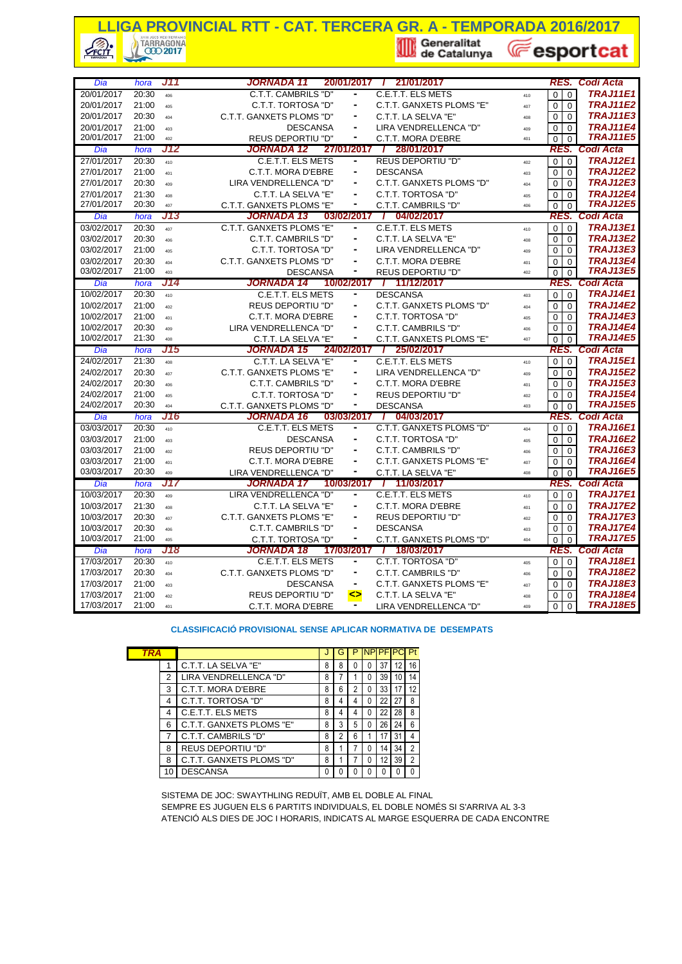## **LIGA PROVINCIAL RTT - CAT. TERCERA GR. A - TEMPORADA 2016/2017**<br> **A Construction of the Catalunya** (*Catalunya* (*Catalunya* (*Catalunya* (*Catalunya* (*Catalunya* (*Catalunya* (*Catalunya* (*Catalunya* (*Catalunya* (*Cat* **E**esportcat CFCTT

| Dia                      | hora           | J11        | <b>JORNADA 11</b><br>20/01/2017                              | / 21/01/2017                                    |                           | RES.                | <b>Codi Acta</b>                                                                                        |
|--------------------------|----------------|------------|--------------------------------------------------------------|-------------------------------------------------|---------------------------|---------------------|---------------------------------------------------------------------------------------------------------|
| 20/01/2017               | 20:30          | 406        | C.T.T. CAMBRILS "D"                                          | C.E.T.T. ELS METS                               | $\mathbf 0$<br>410        | $\mathbf 0$         | <b>TRAJ11E1</b>                                                                                         |
| 20/01/2017               | 21:00          | 405        | C.T.T. TORTOSA "D"<br>٠                                      | C.T.T. GANXETS PLOMS "E"                        | $\Omega$<br>407           | $\Omega$            | <b>TRAJ11E2</b>                                                                                         |
| 20/01/2017               | 20:30          | 404        | C.T.T. GANXETS PLOMS "D"                                     | C.T.T. LA SELVA "E"                             | $\Omega$<br>408           | $\Omega$            | <b>TRAJ11E3</b>                                                                                         |
| 20/01/2017               | 21:00          | 403        | <b>DESCANSA</b><br>$\overline{\phantom{a}}$                  | LIRA VENDRELLENCA "D"                           | $\Omega$                  | $\Omega$            | <b>TRAJ11E4</b>                                                                                         |
| 20/01/2017               | 21:00          | 402        | <b>REUS DEPORTIU "D"</b><br>٠                                | C.T.T. MORA D'EBRE                              | 409<br>$\Omega$<br>401    | $\Omega$            | <b>TRAJ11E5</b>                                                                                         |
| Dia                      | hora           | J12        | <b>JORNADA 12</b>                                            | 27/01/2017 / 28/01/2017                         |                           | RES.                | Codi Acta                                                                                               |
| 27/01/2017               | 20:30          | 410        | C.E.T.T. ELS METS                                            | <b>REUS DEPORTIU "D"</b>                        | $\Omega$<br>402           | $\mathbf 0$         | <b>TRAJ12E1</b>                                                                                         |
| 27/01/2017               | 21:00          |            | C.T.T. MORA D'EBRE                                           | <b>DESCANSA</b>                                 | $\mathbf 0$               | $\mathbf 0$         | <b>TRAJ12E2</b>                                                                                         |
| 27/01/2017               | 20:30          | 401<br>409 | LIRA VENDRELLENCA "D"<br>٠                                   | C.T.T. GANXETS PLOMS "D"                        | 403<br>$\Omega$           | $\Omega$            | <b>TRAJ12E3</b>                                                                                         |
| 27/01/2017               | 21:30          |            | C.T.T. LA SELVA "E"                                          | C.T.T. TORTOSA "D"                              | 404<br>0                  | $\mathbf 0$         | <b>TRAJ12E4</b>                                                                                         |
| 27/01/2017               | 20:30          | 408<br>407 | C.T.T. GANXETS PLOMS "E"                                     | C.T.T. CAMBRILS "D"                             | 405<br>$\mathbf 0$<br>406 | $\Omega$            | <b>TRAJ12E5</b>                                                                                         |
| Dia                      | hora           | J13        | JORNADA 13<br>03/02/2017                                     | / 04/02/2017                                    |                           |                     | RES. Codi Acta                                                                                          |
| 03/02/2017               | 20:30          | 407        | C.T.T. GANXETS PLOMS "E"<br>۰                                | C.E.T.T. ELS METS                               | $\Omega$                  | $\Omega$            | <b>TRAJ13E1</b>                                                                                         |
| 03/02/2017               | 20:30          | 406        | C.T.T. CAMBRILS "D"                                          | C.T.T. LA SELVA "E"                             | 410<br>$\mathbf 0$        | $\mathbf 0$         | <b>TRAJ13E2</b>                                                                                         |
| 03/02/2017               | 21:00          |            | C.T.T. TORTOSA "D"                                           | LIRA VENDRELLENCA "D"                           | 408                       | $\Omega$            | <b>TRAJ13E3</b>                                                                                         |
| 03/02/2017               | 20:30          | 405        | C.T.T. GANXETS PLOMS "D"                                     | C.T.T. MORA D'EBRE                              | 0<br>409<br>$\Omega$      | $\Omega$            | <b>TRAJ13E4</b>                                                                                         |
| 03/02/2017               | 21:00          | 404        | <b>DESCANSA</b><br>٠                                         | <b>REUS DEPORTIU "D"</b>                        | 401                       |                     | <b>TRAJ13E5</b>                                                                                         |
| Dia                      | hora           | 403<br>J14 | <b>JORNADA 14</b>                                            | 10/02/2017 / 11/12/2017                         | $\Omega$<br>402           | $\Omega$            | RES. Codi Acta                                                                                          |
| 10/02/2017               | 20:30          |            | C.E.T.T. ELS METS<br>$\blacksquare$                          | <b>DESCANSA</b>                                 | $\mathbf 0$               | $\mathbf 0$         | <b>TRAJ14E1</b>                                                                                         |
| 10/02/2017               | 21:00          | 410        | <b>REUS DEPORTIU "D"</b><br>$\blacksquare$                   | C.T.T. GANXETS PLOMS "D"                        | 403                       |                     | <b>TRAJ14E2</b>                                                                                         |
|                          | 21:00          | 402        | C.T.T. MORA D'EBRE                                           | C.T.T. TORTOSA "D"                              | $\mathbf 0$<br>404        | $\mathbf 0$         | <b>TRAJ14E3</b>                                                                                         |
| 10/02/2017               |                | 401        | $\frac{1}{2}$                                                |                                                 | $\Omega$<br>405           | $\Omega$            | <b>TRAJ14E4</b>                                                                                         |
| 10/02/2017<br>10/02/2017 | 20:30<br>21:30 | 409        | LIRA VENDRELLENCA "D"<br>C.T.T. LA SELVA "E"<br>۰            | C.T.T. CAMBRILS "D"<br>C.T.T. GANXETS PLOMS "E" | $\Omega$<br>406           | $\Omega$            | <b>TRAJ14E5</b>                                                                                         |
|                          |                | 408        |                                                              |                                                 |                           |                     |                                                                                                         |
|                          |                |            |                                                              |                                                 | $\mathbf 0$<br>407        | $\Omega$            |                                                                                                         |
| Dia                      | hora           | J15        | <b>JORNADA 15</b><br>24/02/2017 /                            | 25/02/2017                                      |                           | RES.                | Codi Acta                                                                                               |
| 24/02/2017               | 21:30          | 408        | C.T.T. LA SELVA "E"                                          | <b>C.E.T.T. ELS METS</b>                        | $\Omega$<br>410           | $\Omega$            | <b>TRAJ15E1</b>                                                                                         |
| 24/02/2017               | 20:30          | 407        | C.T.T. GANXETS PLOMS "E"<br>$\blacksquare$<br>$\blacksquare$ | LIRA VENDRELLENCA "D"                           | $\Omega$<br>409           | $\Omega$            | <b>TRAJ15E2</b>                                                                                         |
| 24/02/2017               | 20:30          | 406        | C.T.T. CAMBRILS "D"                                          | C.T.T. MORA D'EBRE                              | $\mathbf 0$<br>401        | $\Omega$            | <b>TRAJ15E3</b>                                                                                         |
| 24/02/2017               | 21:00          | 405        | C.T.T. TORTOSA "D"                                           | <b>REUS DEPORTIU "D"</b>                        | $\mathbf 0$<br>402        | $\mathbf 0$         |                                                                                                         |
| 24/02/2017               | 20:30          | 404        | C.T.T. GANXETS PLOMS "D"<br>-                                | <b>DESCANSA</b>                                 | $\Omega$<br>403           | $\Omega$            | <b>TRAJ15E5</b>                                                                                         |
| Dia                      | hora           | J16        | JORNADA 16<br>03/03/2017<br>۰                                | / 04/03/2017                                    |                           | RES.                | <b>Codi Acta</b>                                                                                        |
| 03/03/2017               | 20:30          | 410        | C.E.T.T. ELS METS                                            | C.T.T. GANXETS PLOMS "D"                        | $\mathbf 0$<br>404        | $\mathbf 0$         |                                                                                                         |
| 03/03/2017               | 21:00          | 403        | <b>DESCANSA</b><br>$\frac{1}{2}$                             | C.T.T. TORTOSA "D"                              | $\mathbf 0$<br>405        | $\mathbf 0$         |                                                                                                         |
| 03/03/2017               | 21:00          | 402        | <b>REUS DEPORTIU "D"</b>                                     | C.T.T. CAMBRILS "D"                             | $\Omega$<br>406           | $\Omega$            |                                                                                                         |
| 03/03/2017<br>03/03/2017 | 21:00<br>20:30 | 401        | C.T.T. MORA D'EBRE<br>۰                                      | C.T.T. GANXETS PLOMS "E"                        | $\mathbf 0$<br>407        | $\Omega$            | <b>TRAJ16E5</b>                                                                                         |
|                          |                | 409        | LIRA VENDRELLENCA "D"                                        | C.T.T. LA SELVA "E"                             | $\mathbf 0$<br>408        | $\Omega$            |                                                                                                         |
| Dia                      | hora           | J17        | <b>JORNADA 17</b>                                            | 10/03/2017 / 11/03/2017                         |                           | RES.                | <b>Codi Acta</b>                                                                                        |
| 10/03/2017               | 20:30          | 409        | LIRA VENDRELLENCA "D"<br>$\overline{\phantom{a}}$            | C.E.T.T. ELS METS                               | $\mathbf 0$<br>410        | $\Omega$            | <b>TRAJ15E4</b><br>TRAJ16E1<br><b>TRAJ16E2</b><br><b>TRAJ16E3</b><br><b>TRAJ16E4</b><br><b>TRAJ17E1</b> |
| 10/03/2017               | 21:30          | 408        | C.T.T. LA SELVA "E"<br>$\blacksquare$                        | C.T.T. MORA D'EBRE                              | $\Omega$<br>401           | $\Omega$            | <b>TRAJ17E2</b>                                                                                         |
| 10/03/2017               | 20:30          | 407        | C.T.T. GANXETS PLOMS "E"<br>$\blacksquare$                   | <b>REUS DEPORTIU "D"</b>                        | $\Omega$<br>402           | $\Omega$            |                                                                                                         |
| 10/03/2017<br>10/03/2017 | 20:30<br>21:00 | 406<br>405 | C.T.T. CAMBRILS "D"<br>٠                                     | <b>DESCANSA</b>                                 | $\mathbf 0$<br>403<br>404 | 0                   | <b>TRAJ17E5</b>                                                                                         |
| Dia                      | hora           | J18        | C.T.T. TORTOSA "D"<br>JORNADA 18<br>17/03/2017               | C.T.T. GANXETS PLOMS "D"<br>18/03/2017          | $\mathbf 0$               | $\mathbf 0$<br>RES. | <b>TRAJ17E3</b><br><b>TRAJ17E4</b><br>Codi Acta                                                         |
| 17/03/2017               | 20:30          | 410        | C.E.T.T. ELS METS                                            | C.T.T. TORTOSA "D"                              | $\mathbf 0$<br>405        | $\mathbf 0$         |                                                                                                         |
| 17/03/2017               | 20:30          | 404        | C.T.T. GANXETS PLOMS "D"<br>$\blacksquare$                   | C.T.T. CAMBRILS "D"                             | $\mathbf 0$<br>406        | $\mathbf 0$         | <b>TRAJ18E1</b>                                                                                         |
| 17/03/2017               | 21:00          | 403        | <b>DESCANSA</b>                                              | C.T.T. GANXETS PLOMS "E"                        | $\mathbf 0$<br>407        | $\mathbf 0$         | <b>TRAJ18E2</b><br><b>TRAJ18E3</b>                                                                      |
| 17/03/2017               | 21:00          | 402        | <b>REUS DEPORTIU "D"</b><br>⇔                                | C.T.T. LA SELVA "E"                             | $\mathbf 0$<br>408        | 0                   | <b>TRAJ18E4</b>                                                                                         |

#### **CLASSIFICACIÓ PROVISIONAL SENSE APLICAR NORMATIVA DE DESEMPATS**

| TRA |   |                          |   | G | Р |   | <b>NP PF PC</b> |    | Pt |
|-----|---|--------------------------|---|---|---|---|-----------------|----|----|
|     |   | C.T.T. LA SELVA "E"      | 8 | 8 |   |   | 37              | 12 | 16 |
|     | 2 | LIRA VENDRELLENCA "D"    | 8 |   |   |   | 39              | 10 | 14 |
|     | 3 | C.T.T. MORA D'EBRE       | 8 | 6 |   |   | 33              |    | 12 |
|     | 4 | C.T.T. TORTOSA "D"       | 8 |   |   |   | 22              | 27 | 8  |
|     | 4 | C.E.T.T. ELS METS        | 8 | 4 | 4 | 0 | 22              | 28 | 8  |
|     | 6 | C.T.T. GANXETS PLOMS "E" | 8 | 3 | 5 |   | 26              | 24 | 6  |
|     |   | C.T.T. CAMBRILS "D"      | 8 | 2 | 6 |   | 17              | 31 |    |
|     | 8 | <b>REUS DEPORTIU "D"</b> | 8 |   |   |   | 14              | 34 | 2  |
|     | 8 | C.T.T. GANXETS PLOMS "D" | 8 |   |   |   | 12              | 39 | 2  |
|     |   | <b>DESCANSA</b>          | 0 |   |   |   | 0               |    |    |

SISTEMA DE JOC: SWAYTHLING REDUÏT, AMB EL DOBLE AL FINAL SEMPRE ES JUGUEN ELS 6 PARTITS INDIVIDUALS, EL DOBLE NOMÉS SI S'ARRIVA AL 3-3

ATENCIÓ ALS DIES DE JOC I HORARIS, INDICATS AL MARGE ESQUERRA DE CADA ENCONTRE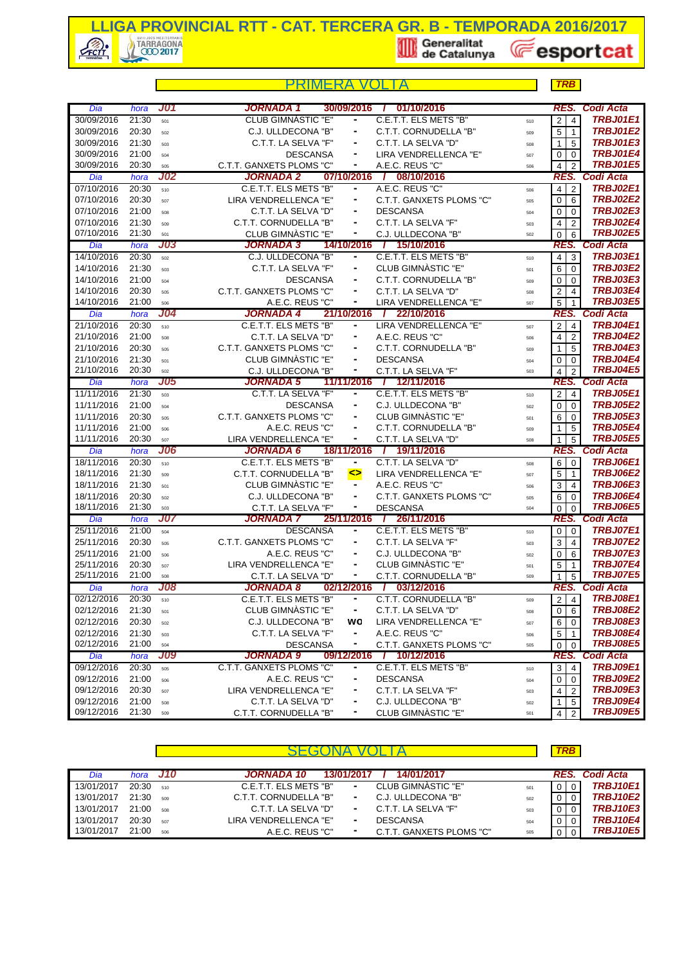

|            |       |            | MFRA                      |                |                              |     | <b>TRB</b>                                |                  |
|------------|-------|------------|---------------------------|----------------|------------------------------|-----|-------------------------------------------|------------------|
| Dia        | hora  | J01        | JORNADA 1                 | 30/09/2016     | 01/10/2016<br>$\mathbf{I}$   |     | RES.                                      | Codi Acta        |
| 30/09/2016 | 21:30 | 501        | <b>CLUB GIMNÀSTIC "E"</b> | ۰              | C.E.T.T. ELS METS "B"        | 510 | $\overline{4}$<br>$\overline{2}$          | <b>TRBJ01E1</b>  |
| 30/09/2016 | 20:30 | 502        | C.J. ULLDECONA "B"        |                | C.T.T. CORNUDELLA "B"        | 509 | 5<br>$\mathbf{1}$                         | <b>TRBJ01E2</b>  |
| 30/09/2016 | 21:30 | 503        | C.T.T. LA SELVA "F"       |                | C.T.T. LA SELVA "D"          | 508 | 5<br>$\mathbf 1$                          | TRBJ01E3         |
| 30/09/2016 | 21:00 | 504        | <b>DESCANSA</b>           | ۰              | LIRA VENDRELLENCA "E"        | 507 | $\mathbf 0$<br>$\mathbf 0$                | <b>TRBJ01E4</b>  |
| 30/09/2016 | 20:30 | 505        | C.T.T. GANXETS PLOMS "C"  |                | A.E.C. REUS "C"              | 506 | $\overline{\mathbf{4}}$<br>$\overline{2}$ | <b>TRBJ01E5</b>  |
| Dia        | hora  | <b>J02</b> | <b>JORNADA 2</b>          | 07/10/2016     | / 08/10/2016                 |     | RES.                                      | Codi Acta        |
| 07/10/2016 | 20:30 | 510        | C.E.T.T. ELS METS "B"     | ۰              | A.E.C. REUS "C"              | 506 | $\overline{4}$<br>$\overline{2}$          | <b>TRBJ02E1</b>  |
| 07/10/2016 | 20:30 | 507        | LIRA VENDRELLENCA "E"     |                | C.T.T. GANXETS PLOMS "C"     | 505 | $\mathbf 0$<br>6                          | <b>TRBJ02E2</b>  |
| 07/10/2016 | 21:00 | 508        | C.T.T. LA SELVA "D"       |                | <b>DESCANSA</b>              | 504 | 0<br>0                                    | <b>TRBJ02E3</b>  |
| 07/10/2016 | 21:30 | 509        | C.T.T. CORNUDELLA "B"     | ۰              | C.T.T. LA SELVA "F"          | 503 | $\overline{4}$<br>2                       | <b>TRBJ02E4</b>  |
| 07/10/2016 | 21:30 | 501        | CLUB GIMNASTIC "E"        | ٠              | C.J. ULLDECONA "B"           | 502 | $\mathbf 0$<br>6                          | <b>TRBJ02E5</b>  |
| Dia        | hora  | <b>J03</b> | <b>JORNADA 3</b>          | 14/10/2016     | / 15/10/2016                 |     |                                           | RES. Codi Acta   |
| 14/10/2016 | 20:30 | 502        | C.J. ULLDECONA "B"        | ٠              | C.E.T.T. ELS METS "B"        | 510 | $\overline{4}$<br>$\mathbf{3}$            | <b>TRBJ03E1</b>  |
| 14/10/2016 | 21:30 | 503        | C.T.T. LA SELVA "F"       |                | CLUB GIMNASTIC "E"           | 501 | 6<br>$\mathbf 0$                          | <b>TRBJ03E2</b>  |
| 14/10/2016 | 21:00 | 504        | <b>DESCANSA</b>           |                | C.T.T. CORNUDELLA "B"        | 509 | $\mathbf 0$<br>0                          | <b>TRBJ03E3</b>  |
| 14/10/2016 | 20:30 | 505        | C.T.T. GANXETS PLOMS "C"  | ۰              | C.T.T. LA SELVA "D"          | 508 | $\overline{2}$<br>$\overline{4}$          | <b>TRBJ03E4</b>  |
| 14/10/2016 | 21:00 | 506        | A.E.C. REUS "C"           | ٠              | LIRA VENDRELLENCA "E"        | 507 | 5<br>$\mathbf{1}$                         | <b>TRBJ03E5</b>  |
| Dia        | hora  | J04        | <b>JORNADA 4</b>          | 21/10/2016     | 22/10/2016<br>$\mathbf{I}$   |     | RES.                                      | <b>Codi Acta</b> |
| 21/10/2016 | 20:30 | 510        | C.E.T.T. ELS METS "B"     |                | LIRA VENDRELLENCA "E"        | 507 | $\overline{2}$<br>$\overline{4}$          | <b>TRBJ04E1</b>  |
| 21/10/2016 | 21:00 | 508        | C.T.T. LA SELVA "D"       |                | A.E.C. REUS "C"              | 506 | 4<br>$\overline{2}$                       | <b>TRBJ04E2</b>  |
| 21/10/2016 | 20:30 | 505        | C.T.T. GANXETS PLOMS "C"  |                | C.T.T. CORNUDELLA "B"        | 509 | 5<br>$\mathbf 1$                          | <b>TRBJ04E3</b>  |
| 21/10/2016 | 21:30 | 501        | CLUB GIMNASTIC "E"        | ۰              | <b>DESCANSA</b>              | 504 | $\mathbf 0$<br>$\mathbf 0$                | TRBJ04E4         |
| 21/10/2016 | 20:30 | 502        | C.J. ULLDECONA "B"        | ۰              | C.T.T. LA SELVA "F"          | 503 | $\overline{4}$<br>$\overline{2}$          | <b>TRBJ04E5</b>  |
| Dia        | hora  | <b>J05</b> | <b>JORNADA 5</b>          | 11/11/2016     | / 12/11/2016                 |     | RES.                                      | Codi Acta        |
| 11/11/2016 | 21:30 | 503        | C.T.T. LA SELVA "F"       |                | C.E.T.T. ELS METS "B"        | 510 | $\overline{2}$<br>$\overline{4}$          | <b>TRBJ05E1</b>  |
| 11/11/2016 | 21:00 | 504        | <b>DESCANSA</b>           |                | C.J. ULLDECONA "B"           | 502 | $\mathbf 0$<br>0                          | <b>TRBJ05E2</b>  |
| 11/11/2016 | 20:30 | 505        | C.T.T. GANXETS PLOMS "C"  |                | CLUB GIMNASTIC "E"           | 501 | 6<br>$\mathbf 0$                          | <b>TRBJ05E3</b>  |
| 11/11/2016 | 21:00 | 506        | A.E.C. REUS "C"           |                | C.T.T. CORNUDELLA "B"        | 509 | 5<br>$\mathbf{1}$                         | <b>TRBJ05E4</b>  |
| 11/11/2016 | 20:30 | 507        | LIRA VENDRELLENCA "E"     | ۰              | C.T.T. LA SELVA "D"          | 508 | 5<br>$\mathbf{1}$                         | <b>TRBJ05E5</b>  |
| Dia        | hora  | <b>J06</b> | <b>JORNADA 6</b>          | 18/11/2016     | / 19/11/2016                 |     | RES.                                      | Codi Acta        |
| 18/11/2016 | 20:30 | 510        | C.E.T.T. ELS METS "B"     | $\blacksquare$ | C.T.T. LA SELVA "D"          | 508 | 6<br>$\mathbf 0$                          | <b>TRBJ06E1</b>  |
| 18/11/2016 | 21:30 | 509        | C.T.T. CORNUDELLA "B"     | ◇              | LIRA VENDRELLENCA "E"        | 507 | 5<br>$\overline{1}$                       | <b>TRBJ06E2</b>  |
| 18/11/2016 | 21:30 | 501        | CLUB GIMNASTIC "E"        | $\blacksquare$ | A.E.C. REUS "C"              | 506 | 3<br>$\overline{4}$                       | <b>TRBJ06E3</b>  |
| 18/11/2016 | 20:30 | 502        | C.J. ULLDECONA "B"        |                | C.T.T. GANXETS PLOMS "C"     | 505 | 6<br>$\mathbf 0$                          | TRBJ06E4         |
| 18/11/2016 | 21:30 | 503        | C.T.T. LA SELVA "F"       |                | <b>DESCANSA</b>              | 504 | $\mathbf 0$<br>0                          | <b>TRBJ06E5</b>  |
| Dia        | hora  | J07        | JORNADA 7                 | 25/11/2016     | / 26/11/2016                 |     | RES.                                      | Codi Acta        |
| 25/11/2016 | 21:00 | 504        | <b>DESCANSA</b>           |                | C.E.T.T. ELS METS "B"        | 510 | $\mathbf 0$<br>$\mathbf 0$                | <b>TRBJ07E1</b>  |
| 25/11/2016 | 20:30 | 505        | C.T.T. GANXETS PLOMS "C"  |                | C.T.T. LA SELVA "F"          | 503 | 3<br>4                                    | <b>TRBJ07E2</b>  |
| 25/11/2016 | 21:00 | 506        | A.E.C. REUS "C"           |                | C.J. ULLDECONA "B"           | 502 | $\mathbf 0$<br>6                          | TRBJ07E3         |
| 25/11/2016 | 20:30 | 507        | LIRA VENDRELLENCA "E"     |                | CLUB GIMNASTIC "E"           | 501 | 5<br>$\mathbf{1}$                         | <b>TRBJ07E4</b>  |
| 25/11/2016 | 21:00 | 508        | C.T.T. LA SELVA "D"       |                | C.T.T. CORNUDELLA "B"        | 509 | 5<br>1                                    | <b>TRBJ07E5</b>  |
| Dia        | hora  | <b>J08</b> | JORNADA 8                 |                | 02/12/2016 / 03/12/2016      |     | RES.                                      | <b>Codi Acta</b> |
| 02/12/2016 | 20:30 | 510        | C.E.T.T. ELS METS "B"     |                | C.T.T. CORNUDELLA "B"        | 509 | $\overline{2}$<br>4                       | <b>TRBJ08E1</b>  |
| 02/12/2016 | 21:30 | 501        | CLUB GIMNASTIC "E"        | ۰              | C.T.T. LA SELVA "D"          | 508 | 0<br>6                                    | <b>TRBJ08E2</b>  |
| 02/12/2016 | 20:30 | 502        | C.J. ULLDECONA "B"        | wo             | LIRA VENDRELLENCA "E"        | 507 | 6<br>$\mathbf 0$                          | <b>TRBJ08E3</b>  |
| 02/12/2016 | 21:30 | 503        | C.T.T. LA SELVA "F"       | ۰              | A.E.C. REUS "C"              | 506 | 5<br>$\mathbf{1}$                         | <b>TRBJ08E4</b>  |
| 02/12/2016 | 21:00 | 504        | <b>DESCANSA</b>           |                | C.T.T. GANXETS PLOMS "C"     | 505 | $\mathbf 0$<br>0                          | <b>TRBJ08E5</b>  |
| Dia        | hora  | <b>J09</b> | JORNADA 9                 | 09/12/2016     | 10/12/2016<br>$\overline{I}$ |     | RES.                                      | Codi Acta        |
| 09/12/2016 | 20:30 | 505        | C.T.T. GANXETS PLOMS "C"  |                | C.E.T.T. ELS METS "B"        | 510 | 3<br>4                                    | <b>TRBJ09E1</b>  |
| 09/12/2016 | 21:00 | 506        | A.E.C. REUS "C"           |                | <b>DESCANSA</b>              | 504 | $\pmb{0}$<br>0                            | <b>TRBJ09E2</b>  |
| 09/12/2016 | 20:30 | 507        | LIRA VENDRELLENCA "E"     |                | C.T.T. LA SELVA "F"          | 503 | 4<br>$\overline{2}$                       | TRBJ09E3         |
| 09/12/2016 | 21:00 | 508        | C.T.T. LA SELVA "D"       |                | C.J. ULLDECONA "B"           | 502 | 5<br>$\mathbf 1$                          | TRBJ09E4         |
| 09/12/2016 | 21:30 | 509        | C.T.T. CORNUDELLA "B"     |                | CLUB GIMNASTIC "E"           | 501 | 4<br>$\overline{2}$                       | <b>TRBJ09E5</b>  |

|            |       |          |                                                  |     | <b>TRB</b>     |                 |
|------------|-------|----------|--------------------------------------------------|-----|----------------|-----------------|
| Dia        |       | hora J10 | 14/01/2017<br>JORNADA 10<br>13/01/2017           |     |                | RES. Codi Acta  |
| 13/01/2017 | 20:30 | 510      | CLUB GIMNASTIC "E"<br>C.E.T.T. ELS METS "B"<br>۰ | 501 | $\overline{0}$ | <b>TRBJ10E1</b> |
| 13/01/2017 | 21:30 | 509      | C.J. ULLDECONA "B"<br>C.T.T. CORNUDELLA "B"<br>۰ | 502 |                | <b>TRBJ10E2</b> |
| 13/01/2017 | 21:00 | 508      | C.T.T. LA SELVA "F"<br>C.T.T. LA SELVA "D"<br>۰. | 503 |                | <b>TRBJ10E3</b> |
| 13/01/2017 | 20:30 | 507      | LIRA VENDRELLENCA "E"<br><b>DESCANSA</b>         | 504 |                | <b>TRBJ10E4</b> |
| 13/01/2017 | 21:00 | 506      | C.T.T. GANXETS PLOMS "C"<br>A.E.C. REUS "C"      | 505 |                | <b>TRBJ10E5</b> |